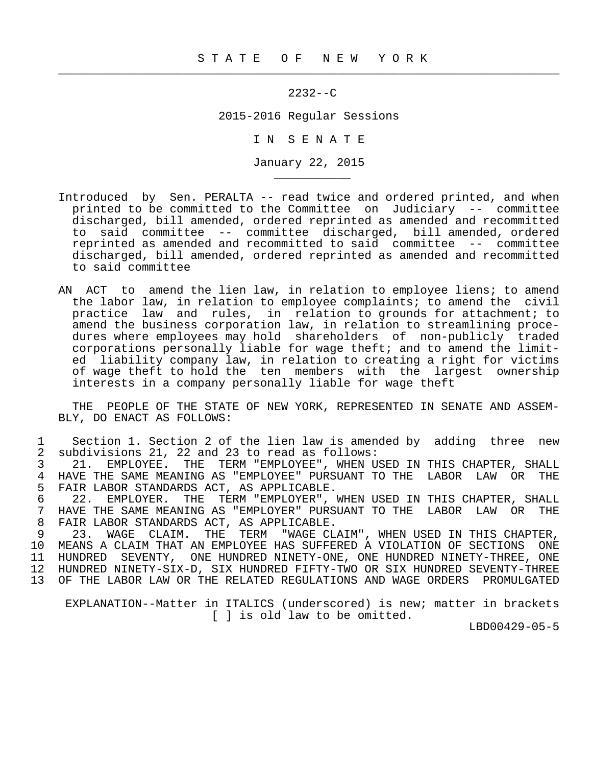$\frac{1}{2}$  , and the contribution of the contribution of the contribution of the contribution of the contribution of the contribution of the contribution of the contribution of the contribution of the contribution of the c

\_\_\_\_\_\_\_\_\_\_\_

2232--C

2015-2016 Regular Sessions

I N S E N A T E

January 22, 2015

- Introduced by Sen. PERALTA -- read twice and ordered printed, and when printed to be committed to the Committee on Judiciary -- committee discharged, bill amended, ordered reprinted as amended and recommitted to said committee -- committee discharged, bill amended, ordered reprinted as amended and recommitted to said committee -- committee discharged, bill amended, ordered reprinted as amended and recommitted to said committee
- AN ACT to amend the lien law, in relation to employee liens; to amend the labor law, in relation to employee complaints; to amend the civil practice law and rules, in relation to grounds for attachment; to amend the business corporation law, in relation to streamlining proce dures where employees may hold shareholders of non-publicly traded corporations personally liable for wage theft; and to amend the limit ed liability company law, in relation to creating a right for victims of wage theft to hold the ten members with the largest ownership interests in a company personally liable for wage theft

 THE PEOPLE OF THE STATE OF NEW YORK, REPRESENTED IN SENATE AND ASSEM- BLY, DO ENACT AS FOLLOWS:

1 Section 1. Section 2 of the lien law is amended by adding three new<br>2 subdivisions 21, 22 and 23 to read as follows: 2 subdivisions 21, 22 and 23 to read as follows:

3 21. EMPLOYEE. THE TERM "EMPLOYEE", WHEN USED IN THIS CHAPTER, SHALL<br>4 HAVE THE SAME MEANING AS "EMPLOYEE" PURSUANT TO THE LABOR LAW OR THE 4 HAVE THE SAME MEANING AS "EMPLOYEE" PURSUANT TO THE LABOR LAW OR THE 5 FAIR LABOR STANDARDS ACT. AS APPLICABLE. 5 FAIR LABOR STANDARDS ACT, AS APPLICABLE.<br>6 22. EMPLOYER. THE TERM "EMPLOYER",

 6 22. EMPLOYER. THE TERM "EMPLOYER", WHEN USED IN THIS CHAPTER, SHALL 7 HAVE THE SAME MEANING AS "EMPLOYER" PURSUANT TO THE LABOR LAW OR THE 8 FAIR LABOR STANDARDS ACT, AS APPLICABLE.<br>9 23. WAGE CLAIM, THE TERM "WAGE CL

 9 23. WAGE CLAIM. THE TERM "WAGE CLAIM", WHEN USED IN THIS CHAPTER, 10 MEANS A CLAIM THAT AN EMPLOYEE HAS SUFFERED A VIOLATION OF SECTIONS ONE 11 HUNDRED SEVENTY, ONE HUNDRED NINETY-ONE 11 HUNDRED SEVENTY, ONE HUNDRED NINETY-ONE, ONE HUNDRED NINETY-THREE, ONE 12 HUNDRED NINETY-SIX-D, SIX HUNDRED FIFTY-TWO OR SIX HUNDRED SEVENTY-THREE 13 OF THE LABOR LAW OR THE RELATED REGULATIONS AND WAGE ORDERS PROMULGATED

 EXPLANATION--Matter in ITALICS (underscored) is new; matter in brackets [ ] is old law to be omitted.

LBD00429-05-5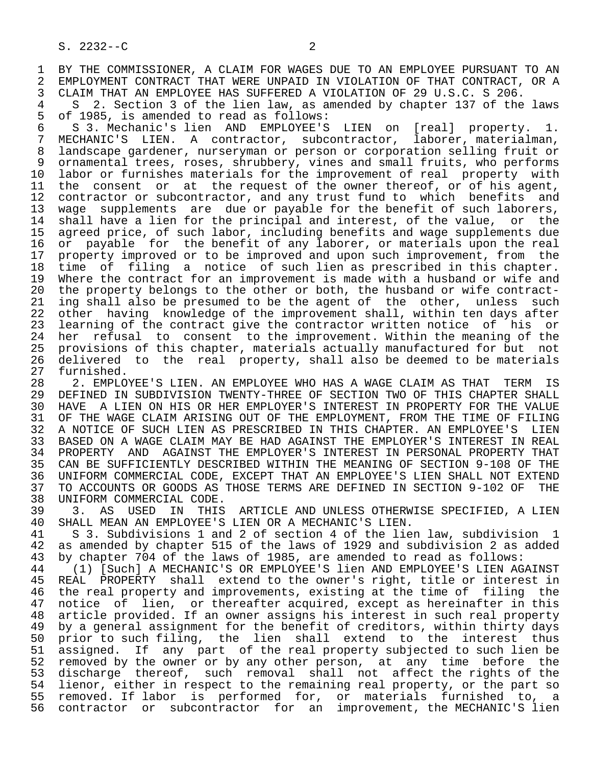1 BY THE COMMISSIONER, A CLAIM FOR WAGES DUE TO AN EMPLOYEE PURSUANT TO AN 2 EMPLOYMENT CONTRACT THAT WERE UNPAID IN VIOLATION OF THAT CONTRACT, OR A 2 EMPLOYMENT CONTRACT THAT WERE UNPAID IN VIOLATION OF THAT CONTRACT, OR A<br>3 CLAIM THAT AN EMPLOYEE HAS SUFFERED A VIOLATION OF 29 U.S.C. S 206. 3 CLAIM THAT AN EMPLOYEE HAS SUFFERED A VIOLATION OF 29 U.S.C. S 206.

4 S 2. Section 3 of the lien law, as amended by chapter 137 of the laws<br>5 of 1985, is amended to read as follows: 5 of 1985, is amended to read as follows:<br>6 S 3. Mechanic's lien AND EMPLOYEE'S

6 S 3. Mechanic's lien AND EMPLOYEE'S LIEN on [real] property. 1.<br>7 MECHANIC'S LIEN. A contractor, subcontractor, laborer, materialman, MECHANIC'S LIEN. A contractor, subcontractor, laborer, materialman, 8 landscape gardener, nurseryman or person or corporation selling fruit or 9 ornamental trees, roses, shrubbery, vines and small fruits, who performs<br>10 labor or furnishes materials for the improvement of real property with 10 labor or furnishes materials for the improvement of real property with<br>11 the consent or at the request of the owner thereof, or of his agent, 11 the consent or at the request of the owner thereof, or of his agent,<br>12 contractor or subcontractor, and any trust fund to which benefits and 12 contractor or subcontractor, and any trust fund to which benefits and<br>13 wage supplements are due or pavable for the benefit of such laborers. 13 wage supplements are due or payable for the benefit of such laborers,<br>14 shall have a lien for the principal and interest, of the value, or the shall have a lien for the principal and interest, of the value, or the 15 agreed price, of such labor, including benefits and wage supplements due<br>16 or payable for the benefit of any laborer, or materials upon the real 16 or payable for the benefit of any laborer, or materials upon the real<br>17 property improved or to be improved and upon such improvement, from the 17 property improved or to be improved and upon such improvement, from the<br>18 time of filing a notice of such lien as prescribed in this chapter. 18 time of filing a notice of such lien as prescribed in this chapter.<br>19 Where the contract for an improvement is made with a husband or wife and 19 Where the contract for an improvement is made with a husband or wife and<br>20 the property belongs to the other or both, the husband or wife contract-20 the property belongs to the other or both, the husband or wife contract-<br>21 ing shall also be presumed to be the agent of the other, unless such 21 ing shall also be presumed to be the agent of the other, unless such<br>22 other having knowledge of the improvement shall, within ten days after 22 other having knowledge of the improvement shall, within ten days after<br>23 learning of the contract give the contractor written notice of his or learning of the contract give the contractor written notice of his or 24 her refusal to consent to the improvement. Within the meaning of the<br>25 provisions of this chapter, materials actually manufactured for but not 25 provisions of this chapter, materials actually manufactured for but not 26 delivered to the real property, shall also be deemed to be materials<br>27 furnished.

27 furnished.<br>28 2. EMPLO 28 2. EMPLOYEE'S LIEN. AN EMPLOYEE WHO HAS A WAGE CLAIM AS THAT TERM IS<br>29 DEFINED IN SUBDIVISION TWENTY-THREE OF SECTION TWO OF THIS CHAPTER SHALL DEFINED IN SUBDIVISION TWENTY-THREE OF SECTION TWO OF THIS CHAPTER SHALL 30 HAVE A LIEN ON HIS OR HER EMPLOYER'S INTEREST IN PROPERTY FOR THE VALUE<br>31 OF THE WAGE CLAIM ARISING OUT OF THE EMPLOYMENT, FROM THE TIME OF FILING 31 OF THE WAGE CLAIM ARISING OUT OF THE EMPLOYMENT, FROM THE TIME OF FILING<br>32 A NOTICE OF SUCH LIEN AS PRESCRIBED IN THIS CHAPTER. AN EMPLOYEE'S LIEN 32 A NOTICE OF SUCH LIEN AS PRESCRIBED IN THIS CHAPTER. AN EMPLOYEE'S LIEN<br>33 BASED ON A WAGE CLAIM MAY BE HAD AGAINST THE EMPLOYER'S INTEREST IN REAL 33 BASED ON A WAGE CLAIM MAY BE HAD AGAINST THE EMPLOYER'S INTEREST IN REAL<br>34 PROPERTY AND AGAINST THE EMPLOYER'S INTEREST IN PERSONAL PROPERTY THAT 34 PROPERTY AND AGAINST THE EMPLOYER'S INTEREST IN PERSONAL PROPERTY THAT<br>35 CAN BE SUFFICIENTLY DESCRIBED WITHIN THE MEANING OF SECTION 9-108 OF THE 35 CAN BE SUFFICIENTLY DESCRIBED WITHIN THE MEANING OF SECTION 9-108 OF THE 36 UNIFORM COMMERCIAL CODE, EXCEPT THAT AN EMPLOYEE'S LIEN SHALL NOT EXTEND 37 TO ACCOUNTS OR GOODS AS THOSE TERMS ARE DEFINED IN SECTION 9-102 OF THE

38 UNIFORM COMMERCIAL CODE.<br>39 3. AS USED IN THIS 39 3. AS USED IN THIS ARTICLE AND UNLESS OTHERWISE SPECIFIED, A LIEN<br>40 SHALL MEAN AN EMPLOYEE'S LIEN OR A MECHANIC'S LIEN. 40 SHALL MEAN AN EMPLOYEE'S LIEN OR A MECHANIC'S LIEN.<br>41 S 3. Subdivisions 1 and 2 of section 4 of the lies

 41 S 3. Subdivisions 1 and 2 of section 4 of the lien law, subdivision 1 42 as amended by chapter 515 of the laws of 1929 and subdivision 2 as added<br>43 by chapter 704 of the laws of 1985, are amended to read as follows: 43 by chapter 704 of the laws of 1985, are amended to read as follows:

44 (1) [Such] A MECHANIC'S OR EMPLOYEE'S lien AND EMPLOYEE'S LIEN AGAINST<br>45 REAL PROPERTY shall extend to the owner's right, title or interest in REAL PROPERTY shall extend to the owner's right, title or interest in 46 the real property and improvements, existing at the time of filing the<br>47 notice of lien, or thereafter acquired, except as hereinafter in this 47 notice of lien, or thereafter acquired, except as hereinafter in this 48 article provided. If an owner assigns his interest in such real property 49 by a general assignment for the benefit of creditors, within thirty days 50 prior to such filing, the lien shall extend to the interest thus 51 assigned. If any part of the real property subjected to such lien be 52 removed by the owner or by any other person, at any time before the 53 discharge thereof, such removal shall not affect the rights of the<br>54 lienor, either in respect to the remaining real property, or the part so 54 lienor, either in respect to the remaining real property, or the part so<br>55 removed. If labor is performed for, or materials furnished to, a removed. If labor is performed for, or materials furnished to, a 56 contractor or subcontractor for an improvement, the MECHANIC'S lien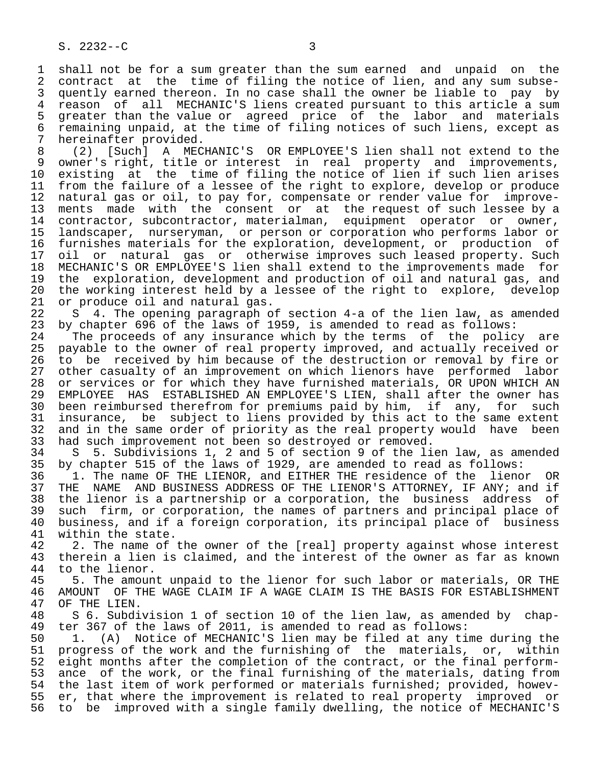1 shall not be for a sum greater than the sum earned and unpaid on the<br>2 contract at the time of filing the notice of lien, and any sum subse-2 contract at the time of filing the notice of lien, and any sum subse-<br>3 quently earned thereon. In no case shall the owner be liable to pay by 3 quently earned thereon. In no case shall the owner be liable to pay by<br>4 reason of all MECHANIC'S liens created pursuant to this article a sum 4 reason of all MECHANIC'S liens created pursuant to this article a sum<br>5 greater than the value or agreed price of the labor and materials 5 greater than the value or agreed price of the labor and materials 6 remaining unpaid, at the time of filing notices of such liens, except as 7 hereinafter provided.<br>8 (2) [Such] A MEC

8 (2) [Such] A MECHANIC'S OR EMPLOYEE'S lien shall not extend to the<br>9 owner's right, title or interest in real property and improvements, 9 owner's right, title or interest in real property and improvements,<br>10 existing at the time of filing the notice of lien if such lien arises 10 existing at the time of filing the notice of lien if such lien arises<br>11 from the failure of a lessee of the right to explore, develop or produce 11 from the failure of a lessee of the right to explore, develop or produce<br>12 natural gas or oil, to pay for, compensate or render value for improve-12 natural gas or oil, to pay for, compensate or render value for improve-<br>13 ments made with the consent or at the request of such lessee by a 13 ments made with the consent or at the request of such lessee by a<br>14 contractor, subcontractor, materialman, equipment operator or owner, contractor, subcontractor, materialman, 15 landscaper, nurseryman, or person or corporation who performs labor or 16 furnishes materials for the exploration, development, or production of<br>17 oil or natural gas or otherwise improves such leased property. Such 17 oil or natural gas or otherwise improves such leased property. Such<br>18 MECHANIC'S OR EMPLOYEE'S lien shall extend to the improvements made for 18 MECHANIC'S OR EMPLOYEE'S lien shall extend to the improvements made for<br>19 the exploration, development and production of oil and natural gas, and 19 the exploration, development and production of oil and natural gas, and<br>20 the working interest held by a lessee of the right to explore, develop 20 the working interest held by a lessee of the right to explore, develop 21 or produce oil and natural gas. 21 or produce oil and natural gas.<br>22 S 4. The opening paragraph o

22 S 4. The opening paragraph of section 4-a of the lien law, as amended<br>23 by chapter 696 of the laws of 1959, is amended to read as follows: by chapter 696 of the laws of 1959, is amended to read as follows:

24 The proceeds of any insurance which by the terms of the policy are<br>25 payable to the owner of real property improved, and actually received or payable to the owner of real property improved, and actually received or 26 to be received by him because of the destruction or removal by fire or<br>27 other casualty of an improvement on which lienors have performed labor 27 other casualty of an improvement on which lienors have performed labor<br>28 or services or for which they have furnished materials, OR UPON WHICH AN 28 or services or for which they have furnished materials, OR UPON WHICH AN<br>29 EMPLOYEE HAS ESTABLISHED AN EMPLOYEE'S LIEN, shall after the owner has 29 EMPLOYEE HAS ESTABLISHED AN EMPLOYEE'S LIEN, shall after the owner has<br>30 been reimbursed therefrom for premiums paid by him, if any, for such 30 been reimbursed therefrom for premiums paid by him, if any, for such<br>31 insurance, be subject to liens provided by this act to the same extent 31 insurance, be subject to liens provided by this act to the same extent<br>32 and in the same order of priority as the real property would have been 32 and in the same order of priority as the real property would have been<br>33 had such improvement not been so destroyed or removed. 33 had such improvement not been so destroyed or removed.<br>34 S 5. Subdivisions 1, 2 and 5 of section 9 of the li

34 S 5. Subdivisions 1, 2 and 5 of section 9 of the lien law, as amended<br>35 by chapter 515 of the laws of 1929, are amended to read as follows: 35 by chapter 515 of the laws of 1929, are amended to read as follows:<br>36 1. The name OF THE LIENOR, and EITHER THE residence of the lieno

1. The name OF THE LIENOR, and EITHER THE residence of the lienor OR 37 THE NAME AND BUSINESS ADDRESS OF THE LIENOR'S ATTORNEY, IF ANY; and if<br>38 the lienor is a partnership or a corporation, the business address of 38 the lienor is a partnership or a corporation, the business address of<br>39 such firm, or corporation, the names of partners and principal place of 39 such firm, or corporation, the names of partners and principal place of<br>40 business, and if a foreign corporation, its principal place of business 40 business, and if a foreign corporation, its principal place of business<br>41 within the state. 41 within the state.<br>42 2. The name of

42 2. The name of the owner of the [real] property against whose interest<br>43 therein a lien is claimed, and the interest of the owner as far as known 43 therein a lien is claimed, and the interest of the owner as far as known<br>44 to the lienor. 44 to the lienor.<br>45 5. The amoun

45 5. The amount unpaid to the lienor for such labor or materials, OR THE<br>46 AMOUNT OF THE WAGE CLAIM IF A WAGE CLAIM IS THE BASIS FOR ESTABLISHMENT 46 AMOUNT OF THE WAGE CLAIM IF A WAGE CLAIM IS THE BASIS FOR ESTABLISHMENT 47 OF THE LIEN. OF THE LIEN.

48 S 6. Subdivision 1 of section 10 of the lien law, as amended by chap-<br>49 ter 367 of the laws of 2011, is amended to read as follows: 49 ter 367 of the laws of 2011, is amended to read as follows:<br>50 1. (A) Notice of MECHANIC'S lien may be filed at any tip

50 1. (A) Notice of MECHANIC'S lien may be filed at any time during the<br>51 progress of the work and the furnishing of the materials, or, within progress of the work and the furnishing of the materials, or, within 52 eight months after the completion of the contract, or the final perform-<br>53 ance of the work, or the final furnishing of the materials, dating from 53 ance of the work, or the final furnishing of the materials, dating from<br>54 the last item of work performed or materials furnished; provided, howev-54 the last item of work performed or materials furnished; provided, howev-<br>55 er, that where the improvement is related to real property improved or 55 er, that where the improvement is related to real property improved or<br>56 to be improved with a single family dwelling, the notice of MECHANIC'S 56 to be improved with a single family dwelling, the notice of MECHANIC'S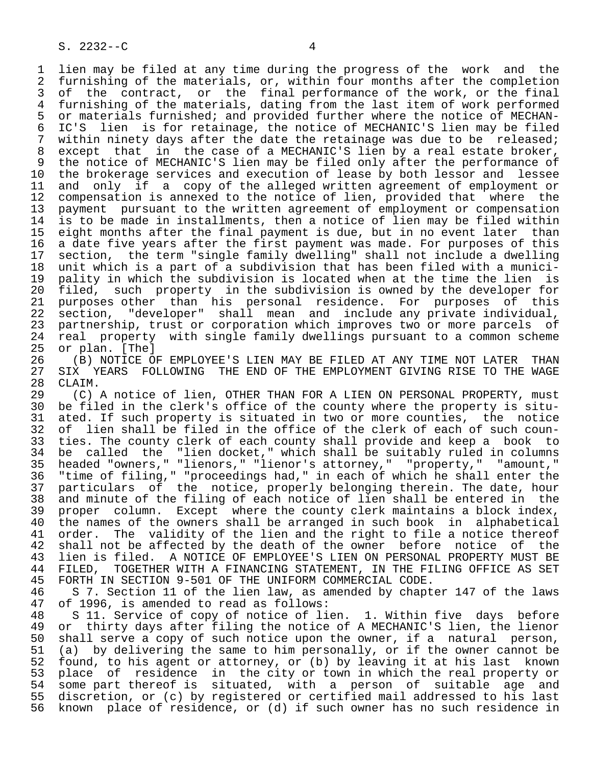1 lien may be filed at any time during the progress of the work and the<br>2 furnishing of the materials, or, within four months after the completion 2 furnishing of the materials, or, within four months after the completion<br>3 of the contract, or the final performance of the work, or the final of the contract, or the final performance of the work, or the final 4 furnishing of the materials, dating from the last item of work performed<br>5 or materials furnished; and provided further where the notice of MECHAN-5 or materials furnished; and provided further where the notice of MECHAN-<br>6 IC'S lien is for retainage, the notice of MECHANIC'S lien may be filed 6 IC'S lien is for retainage, the notice of MECHANIC'S lien may be filed<br>7 within ninety days after the date the retainage was due to be released; within ninety days after the date the retainage was due to be released; 8 except that in the case of a MECHANIC'S lien by a real estate broker, 9 the notice of MECHANIC'S lien may be filed only after the performance of<br>10 the brokerage services and execution of lease by both lessor and lessee 10 the brokerage services and execution of lease by both lessor and lessee<br>11 and only if a copy of the alleged written agreement of employment or 11 and only if a copy of the alleged written agreement of employment or<br>12 compensation is annexed to the notice of lien, provided that where the 12 compensation is annexed to the notice of lien, provided that where the<br>13 payment pursuant to the written agreement of employment or compensation 13 payment pursuant to the written agreement of employment or compensation<br>14 is to be made in installments, then a notice of lien may be filed within is to be made in installments, then a notice of lien may be filed within 15 eight months after the final payment is due, but in no event later than<br>16 a date five years after the first payment was made. For purposes of this 16 a date five years after the first payment was made. For purposes of this<br>17 section, the term "single family dwelling" shall not include a dwelling 17 section, the term "single family dwelling" shall not include a dwelling<br>18 unit which is a part of a subdivision that has been filed with a munici-18 unit which is a part of a subdivision that has been filed with a munici-<br>19 pality in which the subdivision is located when at the time the lien is 19 pality in which the subdivision is located when at the time the lien is<br>20 filed, such property in the subdivision is owned by the developer for 20 filed, such property in the subdivision is owned by the developer for<br>21 purposes other than his personal residence. For purposes of this 21 purposes other than his personal residence. For purposes of this<br>22 section, "developer" shall mean and include any private individual, 22 section, "developer" shall mean and include any private individual,<br>23 partnership, trust or corporation which improves two or more parcels of partnership, trust or corporation which improves two or more parcels of 24 real property with single family dwellings pursuant to a common scheme<br>25 or plan. [The]

or plan. [The] 26 (B) NOTICE OF EMPLOYEE'S LIEN MAY BE FILED AT ANY TIME NOT LATER THAN<br>27 SIX YEARS FOLLOWING THE END OF THE EMPLOYMENT GIVING RISE TO THE WAGE 27 SIX YEARS FOLLOWING THE END OF THE EMPLOYMENT GIVING RISE TO THE WAGE 28 CLAIM.

28 CLAIM.<br>29 (C) 29 (C) A notice of lien, OTHER THAN FOR A LIEN ON PERSONAL PROPERTY, must<br>30 be filed in the clerk's office of the county where the property is sitube filed in the clerk's office of the county where the property is situ-31 ated. If such property is situated in two or more counties, the notice<br>32 of lien shall be filed in the office of the clerk of each of such coun-32 of lien shall be filed in the office of the clerk of each of such coun-<br>33 ties. The county clerk of each county shall provide and keep a book to 33 ties. The county clerk of each county shall provide and keep a book to<br>34 be called the "lien docket," which shall be suitably ruled in columns 34 be called the "lien docket," which shall be suitably ruled in columns<br>35 headed "owners." "lienors," "lienor's attorney," "property," "amount," 35 headed "owners," "lienors," "lienor's attorney," "property,"<br>36 "time of filing." "proceedings had." in each of which he shall "time of filing," "proceedings had," in each of which he shall enter the 37 particulars of the notice, properly belonging therein. The date, hour<br>38 and minute of the filing of each notice of lien shall be entered in the 38 and minute of the filing of each notice of lien shall be entered in the<br>39 proper column. Except where the county clerk maintains a block index. 39 proper column. Except where the county clerk maintains a block index,<br>40 the names of the owners shall be arranged in such book in alphabetical 40 the names of the owners shall be arranged in such book in alphabetical 41 order. The validity of the lien and the right to file a notice thereof<br>42 shall not be affected by the death of the owner before notice of the 42 shall not be affected by the death of the owner before notice of the<br>43 lien is filed. A NOTICE OF EMPLOYEE'S LIEN ON PERSONAL PROPERTY MUST BE 43 lien is filed. A NOTICE OF EMPLOYEE'S LIEN ON PERSONAL PROPERTY MUST BE<br>44 FILED, TOGETHER WITH A FINANCING STATEMENT, IN THE FILING OFFICE AS SET 44 FILED, TOGETHER WITH A FINANCING STATEMENT, IN THE FILING OFFICE AS SET<br>45 FORTH IN SECTION 9-501 OF THE UNIFORM COMMERCIAL CODE. 45 FORTH IN SECTION 9-501 OF THE UNIFORM COMMERCIAL CODE.

46 S 7. Section 11 of the lien law, as amended by chapter 147 of the laws<br>47 of 1996, is amended to read as follows: of 1996, is amended to read as follows:

48 S 11. Service of copy of notice of lien. 1. Within five days before<br>49 or thirty days after filing the notice of A MECHANIC'S lien, the lienor 49 or thirty days after filing the notice of A MECHANIC'S lien, the lienor<br>50 shall serve a copy of such notice upon the owner, if a natural person, 50 shall serve a copy of such notice upon the owner, if a natural person,<br>51 (a) by delivering the same to him personally, or if the owner cannot be 51 (a) by delivering the same to him personally, or if the owner cannot be<br>52 found, to his agent or attorney, or (b) by leaving it at his last known 52 found, to his agent or attorney, or (b) by leaving it at his last known<br>53 place of residence in the city or town in which the real property or 53 place of residence in the city or town in which the real property or<br>54 some part thereof is situated, with a person of suitable age and 54 some part thereof is situated, with a person of suitable age and<br>55 discretion, or (c) by registered or certified mail addressed to his last 55 discretion, or (c) by registered or certified mail addressed to his last<br>56 known place of residence, or (d) if such owner has no such residence in known place of residence, or (d) if such owner has no such residence in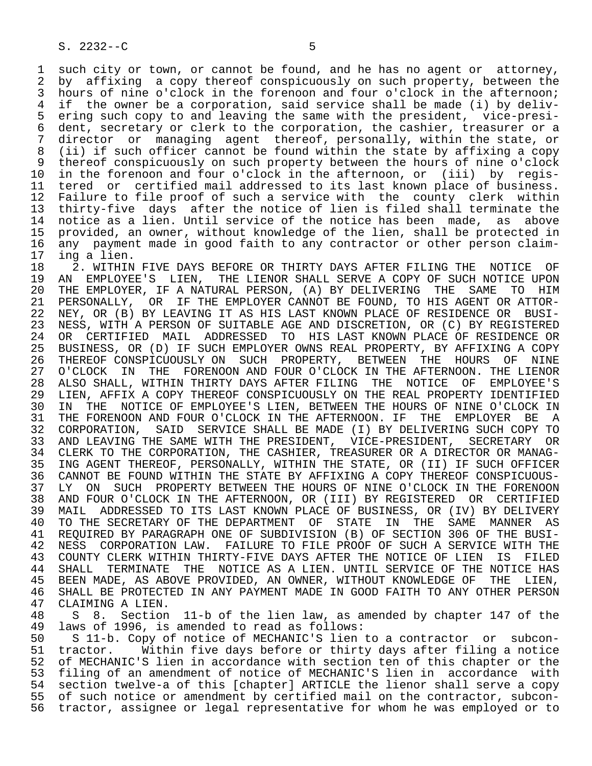1 such city or town, or cannot be found, and he has no agent or attorney,<br>2 by affixing a copy thereof conspicuously on such property, between the 2 by affixing a copy thereof conspicuously on such property, between the<br>3 hours of nine o'clock in the forenoon and four o'clock in the afternoon; hours of nine o'clock in the forenoon and four o'clock in the afternoon; 4 if the owner be a corporation, said service shall be made (i) by deliv- 5 ering such copy to and leaving the same with the president, vice-presi-<br>6 dent, secretary or clerk to the corporation, the cashier, treasurer or a 6 dent, secretary or clerk to the corporation, the cashier, treasurer or a<br>7 director or managing agent thereof, personally, within the state, or director or managing agent thereof, personally, within the state, or 8 (ii) if such officer cannot be found within the state by affixing a copy 9 thereof conspicuously on such property between the hours of nine o'clock<br>10 in the forenoon and four o'clock in the afternoon, or (iii) by regis-10 in the forenoon and four o'clock in the afternoon, or (iii) by regis-<br>11 tered or certified mail addressed to its last known place of business. 11 tered or certified mail addressed to its last known place of business.<br>12 Failure to file proof of such a service with the county clerk within 12 Failure to file proof of such a service with the county clerk within<br>13 thirty-five days after the notice of lien is filed shall terminate the 13 thirty-five days after the notice of lien is filed shall terminate the<br>14 notice as a lien. Until service of the notice has been made, as above notice as a lien. Until service of the notice has been made, as above 15 provided, an owner, without knowledge of the lien, shall be protected in 16 any payment made in good faith to any contractor or other person claim-<br>17 ing a lien.

17 ing a lien.<br>18 2. WITHIN 18 18 2. WITHIN FIVE DAYS BEFORE OR THIRTY DAYS AFTER FILING THE NOTICE OF 19 AN EMPLOYEE'S LIEN. THE LIENOR SHALL SERVE A COPY OF SUCH NOTICE UPON 19 AN EMPLOYEE'S LIEN, THE LIENOR SHALL SERVE A COPY OF SUCH NOTICE UPON<br>20 THE EMPLOYER, IF A NATURAL PERSON, (A) BY DELIVERING THE SAME TO HIM 20 THE EMPLOYER, IF A NATURAL PERSON, (A) BY DELIVERING THE SAME TO HIM<br>21 PERSONALLY, OR IF THE EMPLOYER CANNOT BE FOUND, TO HIS AGENT OR ATTOR-21 PERSONALLY, OR IF THE EMPLOYER CANNOT BE FOUND, TO HIS AGENT OR ATTOR-<br>22 NEY, OR (B) BY LEAVING IT AS HIS LAST KNOWN PLACE OF RESIDENCE OR BUSI-22 NEY, OR (B) BY LEAVING IT AS HIS LAST KNOWN PLACE OF RESIDENCE OR BUSI-<br>23 NESS, WITH A PERSON OF SUITABLE AGE AND DISCRETION, OR (C) BY REGISTERED NESS, WITH A PERSON OF SUITABLE AGE AND DISCRETION, OR (C) BY REGISTERED 24 OR CERTIFIED MAIL ADDRESSED TO HIS LAST\_KNOWN\_PLACE\_OF\_RESIDENCE\_OR<br>25 BUSINESS, OR (D) IF\_SUCH\_EMPLOYER\_OWNS\_REAL\_PROPERTY, BY\_AFFIXING\_A\_COPY 25 BUSINESS, OR (D) IF SUCH EMPLOYER OWNS REAL PROPERTY, BY AFFIXING A COPY 26 THEREOF CONSPICUOUSLY ON SUCH PROPERTY, BETWEEN THE HOURS OF NINE<br>27 O'CLOCK IN THE FORENOON AND FOUR O'CLOCK IN THE AFTERNOON. THE LIENOR 27 O'CLOCK IN THE FORENOON AND FOUR O'CLOCK IN THE AFTERNOON. THE LIENOR<br>28 ALSO SHALL, WITHIN THIRTY DAYS AFTER FILING THE NOTICE OF EMPLOYEE'S 28 ALSO SHALL, WITHIN THIRTY DAYS AFTER FILING THE NOTICE OF EMPLOYEE'S 29 LIEN, AFFIX A COPY THEREOF CONSPICUOUSLY ON THE REAL PROPERTY IDENTIFIED<br>30 IN THE NOTICE OF EMPLOYEE'S LIEN, BETWEEN THE HOURS OF NINE O'CLOCK IN 30 IN THE NOTICE OF EMPLOYEE'S LIEN, BETWEEN THE HOURS OF NINE O'CLOCK IN<br>31 THE FORENOON AND FOUR O'CLOCK IN THE AFTERNOON. IF THE EMPLOYER BE A 31 THE FORENOON AND FOUR O'CLOCK IN THE AFTERNOON. IF THE EMPLOYER BE A<br>32 CORPORATION, SAID SERVICE SHALL BE MADE (I) BY DELIVERING SUCH COPY TO 32 CORPORATION, SAID SERVICE SHALL BE MADE (I) BY DELIVERING SUCH COPY TO<br>33 AND LEAVING THE SAME WITH THE PRESIDENT, VICE-PRESIDENT, SECRETARY OR AND LEAVING THE SAME WITH THE PRESIDENT, VICE-PRESIDENT, SECRETARY OR 34 CLERK TO THE CORPORATION, THE CASHIER, TREASURER OR A DIRECTOR OR MANAG-<br>35 ING AGENT THEREOF, PERSONALLY, WITHIN THE STATE, OR (II) IF SUCH OFFICER 35 ING AGENT THEREOF, PERSONALLY, WITHIN THE STATE, OR (II) IF SUCH OFFICER<br>36 CANNOT BE FOUND WITHIN THE STATE BY AFFIXING A COPY THEREOF CONSPICUOUS-CANNOT BE FOUND WITHIN THE STATE BY AFFIXING A COPY THEREOF CONSPICUOUS-37 LY ON SUCH PROPERTY BETWEEN THE HOURS OF NINE O'CLOCK IN THE FORENOON<br>38 AND FOUR O'CLOCK IN THE AFTERNOON, OR (III) BY REGISTERED OR CERTIFIED 38 AND FOUR O'CLOCK IN THE AFTERNOON, OR (III) BY REGISTERED OR CERTIFIED<br>39 MAIL, ADDRESSED TO ITS LAST KNOWN PLACE OF BUSINESS, OR (IV) BY DELIVERY 39 MAIL ADDRESSED TO ITS LAST KNOWN PLACE OF BUSINESS, OR (IV) BY DELIVERY<br>40 TO THE SECRETARY OF THE DEPARTMENT OF STATE IN THE SAME MANNER AS 40 TO THE SECRETARY OF THE DEPARTMENT OF STATE IN THE SAME MANNER AS 41 REQUIRED BY PARAGRAPH ONE OF SUBDIVISION (B) OF SECTION 306 OF THE BUSI- 42 NESS CORPORATION LAW. FAILURE TO FILE PROOF OF SUCH A SERVICE WITH THE 43 COUNTY CLERK WITHIN THIRTY-FIVE DAYS AFTER THE NOTICE OF LIEN IS FILED 43 COUNTY CLERK WITHIN THIRTY-FIVE DAYS AFTER THE NOTICE OF LIEN IS FILED<br>44 SHALL TERMINATE THE NOTICE AS A LIEN, UNTIL SERVICE OF THE NOTICE HAS 44 SHALL TERMINATE THE NOTICE AS A LIEN. UNTIL SERVICE OF THE NOTICE HAS<br>45 BEEN MADE, AS ABOVE PROVIDED, AN OWNER, WITHOUT KNOWLEDGE OF THE LIEN, BEEN MADE, AS ABOVE PROVIDED, AN OWNER, WITHOUT KNOWLEDGE OF THE LIEN, 46 SHALL BE PROTECTED IN ANY PAYMENT MADE IN GOOD FAITH TO ANY OTHER PERSON 47 CLAIMING A LIEN.

47 CLAIMING A LIEN.<br>48 S 8. Section 48 S 8. Section 11-b of the lien law, as amended by chapter 147 of the 49 laws of 1996, is amended to read as follows:<br>50 S 11-b. Copy of notice of MECHANIC'S lien

50 S 11-b. Copy of notice of MECHANIC'S lien to a contractor or subcon-<br>51 tractor. Within five days before or thirty days after filing a notice 51 tractor. Within five days before or thirty days after filing a notice<br>52 of MECHANIC'S lien in accordance with section ten of this chapter or the 52 of MECHANIC'S lien in accordance with section ten of this chapter or the<br>53 filing of an amendment of notice of MECHANIC'S lien in accordance with 53 filing of an amendment of notice of MECHANIC'S lien in accordance with<br>54 section twelve-a of this [chapter] ARTICLE the lienor shall serve a copy 54 section twelve-a of this [chapter] ARTICLE the lienor shall serve a copy<br>55 of such notice or amendment by certified mail on the contractor, subcon-55 of such notice or amendment by certified mail on the contractor, subcon-<br>56 tractor, assignee or legal representative for whom he was employed or to tractor, assignee or legal representative for whom he was employed or to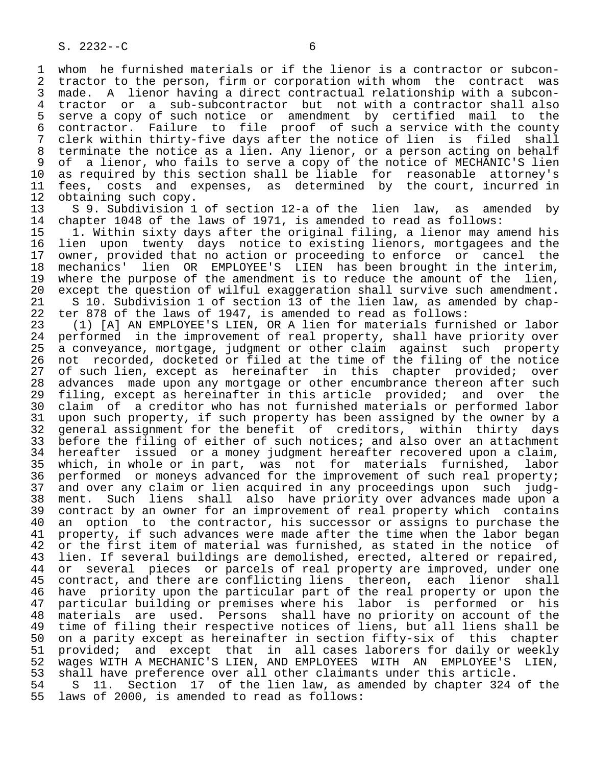1 whom he furnished materials or if the lienor is a contractor or subcon-<br>2 tractor to the person, firm or corporation with whom the contract was 2 tractor to the person, firm or corporation with whom the contract was<br>3 made. A lienor having a direct contractual relationship with a subcon-3 made. A lienor having a direct contractual relationship with a subcon-<br>4 tractor or a sub-subcontractor but not with a contractor shall also 4 tractor or a sub-subcontractor but not with a contractor shall also<br>5 serve a copy of such notice or amendment by certified mail to the 5 serve a copy of such notice or amendment by certified mail to the 6 contractor. Failure to file proof of such a service with the county 7 clerk within thirty-five days after the notice of lien is filed shall<br>8 terminate the notice as a lien. Any lienor, or a person acting on behalf 8 terminate the notice as a lien. Any lienor, or a person acting on behalf<br>8 of a lienor, who fails to serve a copy of the notice of MECHANIC'S lien 9 of a lienor, who fails to serve a copy of the notice of MECHANIC'S lien<br>10 as required by this section shall be liable for reasonable attorney's 10 as required by this section shall be liable for reasonable attorney's<br>11 fees, costs and expenses, as determined by the court, incurred in 11 fees, costs and expenses, as determined by the court, incurred in<br>12 obtaining such copy.

12 obtaining such copy.<br>13 S 9. Subdivision 1 13 S 9. Subdivision 1 of section 12-a of the lien law, as amended by<br>14 chapter 1048 of the laws of 1971, is amended to read as follows: 14 chapter 1048 of the laws of 1971, is amended to read as follows:<br>15 1. Within sixty days after the original filing, a lienor may a

 15 1. Within sixty days after the original filing, a lienor may amend his 16 lien upon twenty days notice to existing lienors, mortgagees and the 17 owner, provided that no action or proceeding to enforce or cancel the<br>18 mechanics' lien OR EMPLOYEE'S LIEN has been brought in the interim, 18 mechanics' lien OR EMPLOYEE'S LIEN has been brought in the interim,<br>19 where the purpose of the amendment is to reduce the amount of the lien, 19 where the purpose of the amendment is to reduce the amount of the lien,<br>20 except the question of wilful exaggeration shall survive such amendment. 20 except the question of wilful exaggeration shall survive such amendment.<br>21 S 10. Subdivision 1 of section 13 of the lien law, as amended by chap-21 S 10. Subdivision 1 of section 13 of the lien law, as amended by chap-<br>22 ter 878 of the laws of 1947, is amended to read as follows:

22 ter 878 of the laws of 1947, is amended to read as follows:<br>23 (1) [A] AN EMPLOYEE'S LIEN, OR A lien for materials furni 23 (1) [A] AN EMPLOYEE'S LIEN, OR A lien for materials furnished or labor 24 performed in the improvement of real property, shall have priority over<br>25 a convevance, mortgage, judgment or other claim against such property a conveyance, mortgage, judgment or other claim against such property 26 not recorded, docketed or filed at the time of the filing of the notice<br>27 of such lien, except as hereinafter in this chapter provided; over 27 of such lien, except as hereinafter in this chapter provided; over 28 advances made upon any mortgage or other encumbrance thereon after such 29 filing, except as hereinafter in this article provided; and over the<br>20 claim of a creditor who has not furnished materials or performed labor 30 claim of a creditor who has not furnished materials or performed labor<br>31 upon such property, if such property has been assigned by the owner by a 31 upon such property, if such property has been assigned by the owner by a<br>32 general assignment for the benefit of creditors, within thirty days 32 general assignment for the benefit of creditors, within thirty days<br>33 before the filing of either of such notices; and also over an attachment 33 before the filing of either of such notices; and also over an attachment<br>34 hereafter issued or a money judgment hereafter recovered upon a claim, 34 hereafter issued or a money judgment hereafter recovered upon a claim,<br>35 which, in whole or in part, was not for materials furnished, labor 35 which, in whole or in part, was not for materials furnished, labor<br>36 performed or moneys advanced for the improvement of such real property; performed or moneys advanced for the improvement of such real property; 37 and over any claim or lien acquired in any proceedings upon such judg- 38 ment. Such liens shall also have priority over advances made upon a 39 contract by an owner for an improvement of real property which contains<br>40 an option to the contractor, his successor or assigns to purchase the 40 an option to the contractor, his successor or assigns to purchase the<br>41 property, if such advances were made after the time when the labor began 41 property, if such advances were made after the time when the labor began<br>42 or the first item of material was furnished, as stated in the notice of 42 or the first item of material was furnished, as stated in the notice of 43 lien. If several buildings are demolished, erected, altered or repaired, 43 lien. If several buildings are demolished, erected, altered or repaired,<br>44 or several pieces or parcels of real property are improved, under one 44 or several pieces or parcels of real property are improved, under one<br>45 contract, and there are conflicting liens thereon, each lienor shall 45 contract, and there are conflicting liens thereon, each lienor shall After the priority upon the particular part of the real property or upon the<br>47 particular building or premises where his labor is performed or his 47 particular building or premises where his labor is performed or his<br>48 materials are used. Persons shall have no priority on account of the 48 materials are used. Persons shall have no priority on account of the<br>49 time of filing their respective notices of liens, but all liens shall be 49 time of filing their respective notices of liens, but all liens shall be<br>50 on a parity except as hereinafter in section fifty-six of this chapter 50 on a parity except as hereinafter in section fifty-six of this chapter<br>51 provided; and except that in all cases laborers for daily or weekly 51 provided; and except that in all cases laborers for daily or weekly<br>52 waqes WITH A MECHANIC'S LIEN, AND EMPLOYEES WITH AN EMPLOYEE'S LIEN, 52 wages WITH A MECHANIC'S LIEN, AND EMPLOYEES WITH AN EMPLOYEE'S LIEN,<br>53 shall have preference over all other claimants under this article. 53 shall have preference over all other claimants under this article.<br>54 S 11. Section 17 of the lien law, as amended by chapter 324 54 S 11. Section 17 of the lien law, as amended by chapter 324 of the<br>55 laws of 2000, is amended to read as follows: laws of 2000, is amended to read as follows: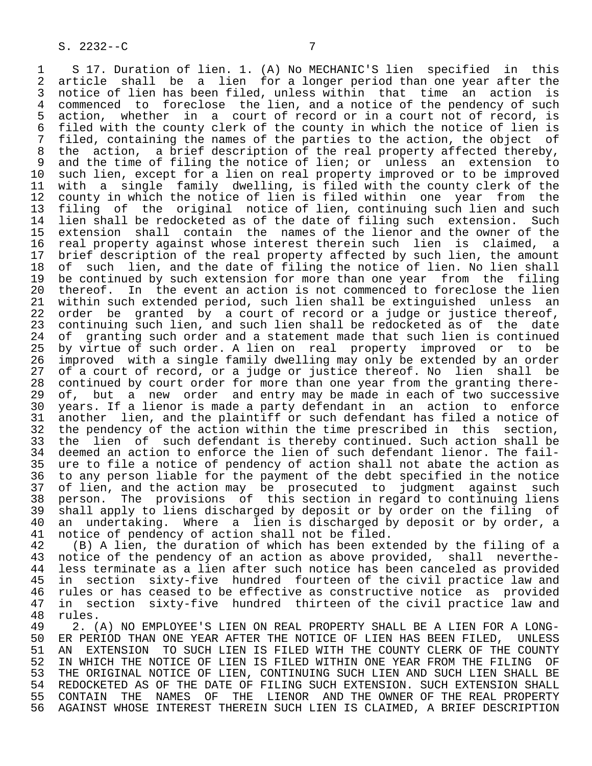1 S 17. Duration of lien. 1. (A) No MECHANIC'S lien specified in this<br>2 article shall be a lien for a longer period than one year after the 2 article shall be a lien for a longer-period than one year after the<br>3 notice of lien has been filed, unless within that time an action is 3 notice of lien has been filed, unless within that time an action is<br>4 commenced to foreclose the lien, and a notice of the pendency of such 4 commenced to foreclose the lien, and a notice of the pendency of such<br>5 action, whether in a court of record or in a court not of record, is 5 action, whether in a court of record or in a court not of record, is<br>6 filed with the county clerk of the county in which the notice of lien is 6 filed with the county clerk of the county in which the notice of lien is<br>7 filed, containing the names of the parties to the action, the object of 7 filed, containing the names of the parties to the action, the object of 7 filed, containing the names of the real property affected thereby. 8 the action, a brief description of the real property affected thereby,<br>9 and the time of filing the notice of lien; or unless an extension to 9 and the time of filing the notice of lien; or unless an extension to<br>10 such lien, except for a lien on real property improved or to be improved 10 such lien, except for a lien on real property improved or to be improved<br>11 with a single family dwelling, is filed with the county clerk of the 11 with a single family dwelling, is filed with the county clerk of the<br>12 county in which the notice of lien is filed within one year from the 12 county in which the notice of lien is filed within one year from the<br>13 filing of the original notice of lien, continuing such lien and such 13 filing of the original notice of lien, continuing such lien and such<br>14 lien shall be redocketed as of the date of filing such extension. Such lien shall be redocketed as of the date of filing such extension. Such 15 extension shall contain the names of the lienor and the owner of the<br>16 real property against whose interest therein such lien is claimed, a 16 real property against whose interest therein such lien is claimed, a<br>17 brief description of the real property affected by such lien, the amount 17 brief description of the real property affected by such lien, the amount<br>18 of such lien, and the date of filing the notice of lien. No lien shall 18 of such lien, and the date of filing the notice of lien. No lien shall<br>19 be continued by such extension for more than one year from the filing 19 be continued by such extension for more than one year from the filing<br>20 thereof. In the event an action is not commenced to foreclose the lien 20 thereof. In the event an action is not commenced to foreclose the lien<br>21 within such extended period, such lien shall be extinguished unless an 21 within such extended period, such lien shall be extinguished unless an<br>22 order be granted by a court of record or a judge or justice thereof, 22 order be granted by a court of record or a judge or justice thereof,<br>23 continuing such lien, and such lien shall be redocketed as of the date 23 continuing such lien, and such lien shall be redocketed as of the date<br>24 of granting such order and a statement made that such lien is continued 24 of granting such order and a statement made that such lien is continued<br>25 by virtue of such order. A lien on real property improved or to be by virtue of such order. A lien on real property improved or to be 26 improved with a single family dwelling may only be extended by an order 27 of a court of record, or a judge or justice thereof. No lien shall be<br>28 continued by court order for more than one year from the granting there-28 continued by court order for more than one year from the granting there-<br>29 of, but a new order and entry may be made in each of two successive 29 of, but a new order and entry may be made in each of two successive<br>30 years. If a lienor is made a party defendant in an action to enforce 30 years. If a lienor is made a party defendant in an action to enforce<br>31 another lien, and the plaintiff or such defendant has filed a notice of 31 another lien, and the plaintiff or such defendant has filed a notice of<br>32 the pendency of the action within the time prescribed in this section, 32 the pendency of the action within the time prescribed in this section,<br>33 the lien of such defendant is thereby continued. Such action shall be 33 the lien of such defendant is thereby continued. Such action shall be<br>34 deemed an action to enforce the lien of such defendant lienor. The fail-34 deemed an action to enforce the lien of such defendant lienor. The fail-<br>35 ure to file a notice of pendency of action shall not abate the action as 35 ure to file a notice of pendency of action shall not abate the action as<br>36 to any person liable for the payment of the debt specified in the notice to any person liable for the payment of the debt specified in the notice 37 of lien, and the action may be prosecuted to judgment against such<br>38 person. The provisions of this section in regard to continuing liens 38 person. The provisions of this section in regard to continuing liens<br>39 shall apply to liens discharged by deposit or by order on the filing of 39 shall apply to liens discharged by deposit or by order on the filing of<br>40 an undertaking. Where a lien is discharged by deposit or by order, a 40 an undertaking. Where a lien is discharged by deposit or by order, a<br>41 notice of pendency of action shall not be filed.

41 notice of pendency of action shall not be filed.<br>42 (B) A lien, the duration of which has been ext 42 (B) A lien, the duration of which has been extended by the filing of a<br>43 notice of the pendency of an action as above provided, shall neverthe-43 notice of the pendency of an action as above provided, shall neverthe-<br>44 less terminate as a lien after such notice has been canceled as provided 44 less terminate as a lien after such notice has been canceled as provided<br>45 in section sixty-five hundred fourteen of the civil practice law and in section sixty-five hundred fourteen of the civil practice law and 46 rules or has ceased to be effective as constructive notice as provided<br>47 in section sixty-five hundred thirteen of the civil practice law and 47 in section sixty-five hundred thirteen of the civil practice law and 48 rules.<br>49 2. (

49 2. (A) NO EMPLOYEE'S LIEN ON REAL PROPERTY SHALL BE A LIEN FOR A LONG-<br>50 ER PERIOD THAN ONE YEAR AFTER THE NOTICE OF LIEN HAS BEEN FILED. UNLESS 50 ER PERIOD THAN ONE YEAR AFTER THE NOTICE OF LIEN HAS BEEN FILED, UNLESS<br>51 AN EXTENSION TO SUCH LIEN IS FILED WITH THE COUNTY CLERK OF THE COUNTY 51 AN EXTENSION TO SUCH LIEN IS FILED WITH THE COUNTY CLERK OF THE COUNTY<br>52 IN WHICH THE NOTICE OF LIEN IS FILED WITHIN ONE YEAR FROM THE FILING OF 52 IN WHICH THE NOTICE OF LIEN IS FILED WITHIN ONE YEAR FROM THE FILING OF<br>53 THE ORIGINAL NOTICE OF LIEN, CONTINUING SUCH LIEN AND SUCH LIEN SHALL BE 53 THE ORIGINAL NOTICE OF LIEN, CONTINUING SUCH LIEN AND SUCH LIEN SHALL BE<br>54 REDOCKETED AS OF THE DATE OF FILING SUCH EXTENSION. SUCH EXTENSION SHALL 54 REDOCKETED AS OF THE DATE OF FILING SUCH EXTENSION. SUCH EXTENSION SHALL<br>55 CONTAIN THE NAMES OF THE LIENOR AND THE OWNER OF THE REAL PROPERTY 55 CONTAIN THE NAMES OF THE LIENOR AND THE OWNER OF THE REAL PROPERTY<br>56 AGAINST WHOSE INTEREST THEREIN SUCH LIEN IS CLAIMED, A BRIEF DESCRIPTION 56 AGAINST WHOSE INTEREST THEREIN SUCH LIEN IS CLAIMED, A BRIEF DESCRIPTION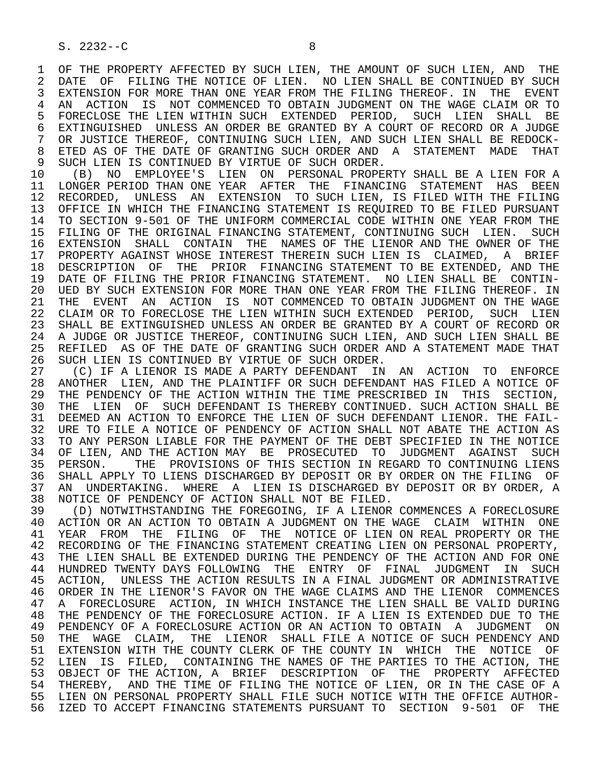1 OF THE PROPERTY AFFECTED BY SUCH LIEN, THE AMOUNT OF SUCH LIEN, AND THE 2 DATE OF FILING THE NOTICE OF LIEN. NO LIEN SHALL BE CONTINUED BY SUCH 2 DATE OF FILING THE NOTICE OF LIEN. NO LIEN SHALL BE CONTINUED BY SUCH<br>3 EXTENSION FOR MORE THAN ONE YEAR FROM THE FILING THEREOF. IN THE EVENT EXTENSION FOR MORE THAN ONE YEAR FROM THE FILING THEREOF. IN THE EVENT 4 AN ACTION IS NOT COMMENCED TO OBTAIN JUDGMENT ON THE WAGE CLAIM OR TO<br>5 FORECLOSE THE LIEN WITHIN SUCH EXTENDED PERIOD, SUCH LIEN SHALL BE 5 FORECLOSE THE LIEN WITHIN SUCH EXTENDED PERIOD, SUCH LIEN SHALL BE<br>6 EXTINGUISHED UNLESS AN ORDER BE GRANTED BY A COURT OF RECORD OR A JUDGE 6 EXTINGUISHED UNLESS AN ORDER BE GRANTED BY A COURT OF RECORD OR A JUDGE 7 OR JUDGE 7 OR JUSTICE THEREOF, CONTINUING SUCH LIEN, AND SUCH LIEN SHALL BE REDOCK-<br>8 ETED AS OF THE DATE OF GRANTING SUCH ORDER AND A STATEMENT MADE. THAT 8 ETED AS OF THE DATE OF GRANTING SUCH ORDER AND A STATEMENT MADE THAT 9 SUCH LIEN IS CONTINUED BY VIRTUE OF SUCH ORDER. 9 SUCH LIEN IS CONTINUED BY VIRTUE OF SUCH ORDER.<br>10 (B) NO EMPLOYEE'S LIEN ON PERSONAL PROPEI

 10 (B) NO EMPLOYEE'S LIEN ON PERSONAL PROPERTY SHALL BE A LIEN FOR A 11 LONGER PERIOD THAN ONE YEAR AFTER THE FINANCING STATEMENT HAS BEEN<br>12 RECORDED, UNLESS AN EXTENSION TO SUCH LIEN, IS FILED WITH THE FILING 12 RECORDED, UNLESS AN EXTENSION TO SUCH LIEN, IS FILED WITH THE FILING<br>13 OFFICE IN WHICH THE FINANCING STATEMENT IS REOUIRED TO BE FILED PURSUANT 13 OFFICE IN WHICH THE FINANCING STATEMENT IS REQUIRED TO BE FILED PURSUANT<br>14 TO SECTION 9-501 OF THE UNIFORM COMMERCIAL CODE WITHIN ONE YEAR FROM THE 14 TO SECTION 9-501 OF THE UNIFORM COMMERCIAL CODE WITHIN ONE YEAR FROM THE 15 FILING OF THE ORIGINAL FINANCING STATEMENT, CONTINUING SUCH LIEN. SUCH 16 EXTENSION SHALL CONTAIN THE NAMES OF THE LIENOR AND THE OWNER OF THE 17 PROPERTY AGAINST WHOSE INTEREST THEREIN SUCH LIEN IS CLAIMED. A BRIEF 17 PROPERTY AGAINST WHOSE INTEREST THEREIN SUCH LIEN IS CLAIMED, A BRIEF 18 DESCRIPTION OF THE PRIOR FINANCING STATEMENT TO BE EXTENDED, AND THE 19 DATE OF FILING THE PRIOR FINANCING STATEMENT. NO LIEN SHALL BE CONTIN- 20 UED BY SUCH EXTENSION FOR MORE THAN ONE YEAR FROM THE FILING THEREOF. IN<br>21 THE EVENT AN ACTION IS NOT COMMENCED TO OBTAIN JUDGMENT ON THE WAGE THE EVENT AN ACTION IS NOT COMMENCED TO OBTAIN JUDGMENT ON THE WAGE 22 CLAIM OR TO FORECLOSE THE LIEN WITHIN SUCH EXTENDED PERIOD, SUCH LIEN 23 SHALL BE EXTINGUISHED UNLESS AN ORDER BE GRANTED BY A COURT OF RECORD OR<br>24 A JUDGE OR JUSTICE THEREOF, CONTINUING SUCH LIEN, AND SUCH LIEN SHALL BE 24 A JUDGE OR JUSTICE THEREOF, CONTINUING SUCH LIEN, AND SUCH LIEN SHALL BE<br>25 REFILED AS OF THE DATE OF GRANTING SUCH ORDER AND A STATEMENT MADE THAT REFILED AS OF THE DATE OF GRANTING SUCH ORDER AND A STATEMENT MADE THAT 26 SUCH LIEN IS CONTINUED BY VIRTUE OF SUCH ORDER.<br>27 (C) IF A LIENOR IS MADE A PARTY DEFENDANT IN

27 (C) IF A LIENOR IS MADE A PARTY DEFENDANT IN AN ACTION TO ENFORCE<br>28 ANOTHER LIEN, AND THE PLAINTIFF OR SUCH DEFENDANT HAS FILED A NOTICE OF 28 ANOTHER LIEN, AND THE PLAINTIFF OR SUCH DEFENDANT HAS FILED A NOTICE OF<br>29 THE PENDENCY OF THE ACTION WITHIN THE TIME PRESCRIBED IN THIS SECTION, 29 THE PENDENCY OF THE ACTION WITHIN THE TIME PRESCRIBED IN THIS SECTION,<br>30 THE LIEN OF SUCH DEFENDANT IS THEREBY CONTINUED. SUCH ACTION SHALL BE 30 THE LIEN OF SUCH DEFENDANT IS THEREBY CONTINUED. SUCH ACTION SHALL BE<br>31 DEEMED AN ACTION TO ENFORCE THE LIEN OF SUCH DEFENDANT LIENOR. THE FAIL-31 DEEMED AN ACTION TO ENFORCE THE LIEN OF SUCH DEFENDANT LIENOR. THE FAIL-<br>32 URE TO FILE A NOTICE OF PENDENCY OF ACTION SHALL NOT ABATE THE ACTION AS 32 URE TO FILE A NOTICE OF PENDENCY OF ACTION SHALL NOT ABATE THE ACTION AS<br>33 TO ANY PERSON LIABLE FOR THE PAYMENT OF THE DEBT SPECIFIED IN THE NOTICE 33 TO ANY PERSON LIABLE FOR THE PAYMENT OF THE DEBT SPECIFIED IN THE NOTICE 34 OF LIEN, AND THE ACTION MAY BE PROSECUTED TO JUDGMENT AGAINST SUCH<br>35 PERSON. THE PROVISIONS OF THIS SECTION IN REGARD TO CONTINUING LIENS 35 PERSON. THE PROVISIONS OF THIS SECTION IN REGARD TO CONTINUING LIENS<br>36 SHALL APPLY TO LIENS DISCHARGED BY DEPOSIT OR BY ORDER ON THE FILING OF 36 SHALL APPLY TO LIENS DISCHARGED BY DEPOSIT OR BY ORDER ON THE FILING OF<br>37 AN UNDERTAKING. WHERE A LIEN IS DISCHARGED BY DEPOSIT OR BY ORDER, A 37 AN UNDERTAKING. WHERE A LIEN IS DISCHARGED BY DEPOSIT OR BY ORDER, A<br>38 NOTICE OF PENDENCY OF ACTION SHALL NOT BE FILED. 38 NOTICE OF PENDENCY OF ACTION SHALL NOT BE FILED.<br>39 (D) NOTWITHSTANDING THE FOREGOING, IF A LIENOR

39 (D) NOTWITHSTANDING THE FOREGOING, IF A LIENOR COMMENCES A FORECLOSURE<br>40 ACTION OR AN ACTION TO OBTAIN A JUDGMENT ON THE WAGE CLAIM WITHIN ONE 40 ACTION OR AN ACTION TO OBTAIN A JUDGMENT ON THE WAGE CLAIM WITHIN ONE 41 YEAR FROM THE FILING OF THE NOTICE OF LIEN ON REAL PROPERTY OR THE 41 YEAR FROM THE FILING OF THE NOTICE OF LIEN ON REAL PROPERTY OR THE FINANCING OF THE TORDERTY. 42 RECORDING OF THE FINANCING STATEMENT CREATING LIEN ON PERSONAL PROPERTY,<br>43 THE LIEN SHALL BE EXTENDED DURING THE PENDENCY OF THE ACTION AND FOR ONE THE LIEN SHALL BE EXTENDED DURING THE PENDENCY OF THE ACTION AND FOR ONE 44 HUNDRED TWENTY DAYS FOLLOWING THE ENTRY OF FINAL JUDGMENT IN SUCH 45 ACTION, UNLESS THE ACTION RESULTS IN A FINAL JUDGMENT OR ADMINISTRATIVE 46 ORDER IN THE LIENOR'S FAVOR ON THE WAGE CLAIMS AND THE LIENOR COMMENCES<br>47 A FORECLOSURE ACTION, IN WHICH INSTANCE THE LIEN SHALL BE VALID DURING 47 A FORECLOSURE ACTION, IN WHICH INSTANCE THE LIEN SHALL BE VALID DURING<br>48 THE PENDENCY OF THE FORECLOSURE ACTION. IF A LIEN IS EXTENDED DUE TO THE 48 THE PENDENCY OF THE FORECLOSURE ACTION. IF A LIEN IS EXTENDED DUE TO THE 49 PENDENCY OF A FORECLOSURE ACTION OR AN ACTION TO OBTAIN A JUDGMENT ON 49 PENDENCY OF A FORECLOSURE ACTION OR AN ACTION TO OBTAIN A JUDGMENT ON 49 PENDENCY AND 50 THE WAGE CLAIM, THE LIENOR SHALL FILE A NOTICE OF SUCH PENDENCY AND<br>51 EXTENSION WITH THE COUNTY CLERK OF THE COUNTY IN WHICH THE NOTICE OF 51 EXTENSION WITH THE COUNTY CLERK OF THE COUNTY IN WHICH THE NOTICE OF 52 LIEN IS FILED, CONTAINING THE NAMES OF THE PARTIES TO THE ACTION, THE<br>53 OBJECT OF THE ACTION, A BRIEF DESCRIPTION OF THE PROPERTY AFFECTED 53 OBJECT OF THE ACTION, A BRIEF DESCRIPTION OF THE PROPERTY AFFECTED<br>54 THEREBY, AND THE TIME OF FILING THE NOTICE OF LIEN, OR IN THE CASE OF A THEREBY, AND THE TIME OF FILING THE NOTICE OF LIEN, OR IN THE CASE OF A 55 LIEN ON PERSONAL PROPERTY SHALL FILE SUCH NOTICE WITH THE OFFICE AUTHOR-<br>56 IZED TO ACCEPT FINANCING STATEMENTS PURSUANT TO SECTION 9-501 OF THE 56 IZED TO ACCEPT FINANCING STATEMENTS PURSUANT TO SECTION 9-501 OF THE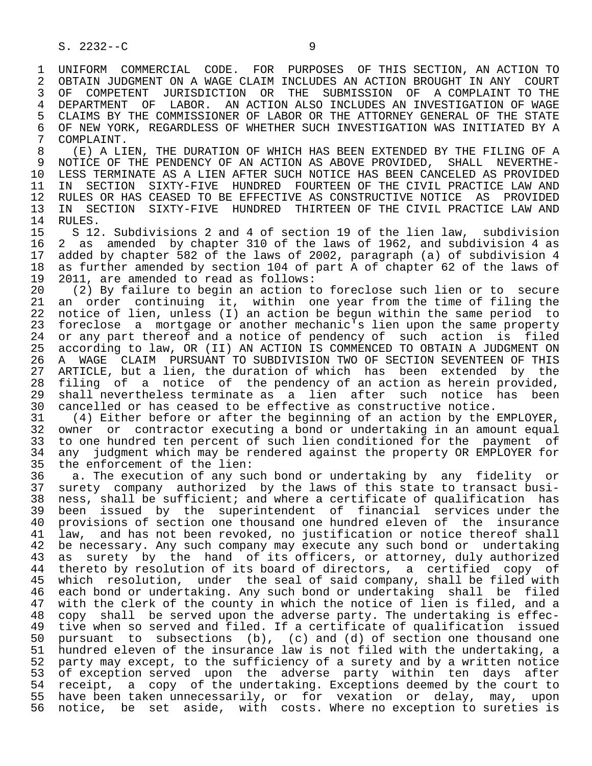1 UNIFORM COMMERCIAL CODE. FOR PURPOSES OF THIS SECTION, AN ACTION TO<br>2 OBTAIN JUDGMENT ON A WAGE CLAIM INCLUDES AN ACTION BROUGHT IN ANY COURT 2 OBTAIN JUDGMENT ON A WAGE CLAIM INCLUDES AN ACTION BROUGHT IN ANY COURT<br>3 OF COMPETENT JURISDICTION OR THE SUBMISSION OF A COMPLAINT TO THE 3 OF COMPETENT JURISDICTION OR THE SUBMISSION OF A COMPLAINT TO THE 4 DEPARTMENT OF LABOR. AN ACTION ALSO INCLUDES AN INVESTIGATION OF WAGE<br>5 CLAIMS BY THE COMMISSIONER OF LABOR OR THE ATTORNEY GENERAL OF THE STATE 5 CLAIMS BY THE COMMISSIONER OF LABOR OR THE ATTORNEY GENERAL OF THE STATE<br>6 OF NEW YORK, REGARDLESS OF WHETHER SUCH INVESTIGATION WAS INITIATED BY A 6 OF NEW YORK, REGARDLESS OF WHETHER SUCH INVESTIGATION WAS INITIATED BY A COMPLAINT. 7 COMPLAINT.<br>8 (E) A LT

8 (E) A LIEN, THE DURATION OF WHICH HAS BEEN EXTENDED BY THE FILING OF A<br>9 NOTICE OF THE PENDENCY OF AN ACTION AS ABOVE PROVIDED. SHALL NEVERTHE- 9 NOTICE OF THE PENDENCY OF AN ACTION AS ABOVE PROVIDED, SHALL NEVERTHE- 10 LESS TERMINATE AS A LIEN AFTER SUCH NOTICE HAS BEEN CANCELED AS PROVIDED<br>11 IN SECTION SIXTY-FIVE HUNDRED FOURTEEN OF THE CIVIL PRACTICE LAW AND 11 IN SECTION SIXTY-FIVE HUNDRED FOURTEEN OF THE CIVIL PRACTICE LAW AND<br>12 RULES OR HAS CEASED TO BE EFFECTIVE AS CONSTRUCTIVE NOTICE AS PROVIDED 12 RULES OR HAS CEASED TO BE EFFECTIVE AS CONSTRUCTIVE NOTICE AS PROVIDED<br>13 IN SECTION SIXTY-FIVE HUNDRED THIRTEEN OF THE CIVIL PRACTICE LAW AND 13 IN SECTION SIXTY-FIVE HUNDRED THIRTEEN OF THE CIVIL PRACTICE LAW AND 14 RULES.

14 RULES.<br>15 S 12 15 S 12. Subdivisions 2 and 4 of section 19 of the lien law, subdivision<br>16 2 as amended by chapter 310 of the laws of 1962, and subdivision 4 as 16 2 as amended by chapter 310 of the laws of 1962, and subdivision 4 as<br>17 added by chapter 582 of the laws of 2002, paragraph (a) of subdivision 4 17 added by chapter 582 of the laws of 2002, paragraph (a) of subdivision 4<br>18 as further amended by section 104 of part A of chapter 62 of the laws of 18 as further amended by section 104 of part A of chapter 62 of the laws of 19 2011, are amended to read as follows: 19 2011, are amended to read as follows:<br>20 (2) By failure to begin an action t

20 (2) By failure to begin an action to foreclose such lien or to secure<br>21 an order continuing it, within one year from the time of filing the 21 an order continuing it, within one year from the time of filing the<br>22 notice of lien, unless (I) an action be begun within the same period to 22 notice of lien, unless (I) an action be begun within the same period to<br>23 foreclose a mortgage or another mechanic's lien upon the same property 23 foreclose a mortgage or another mechanic's lien upon the same property<br>24 or anv part thereof and a notice of pendency of such action is filed 24 or any part thereof and a notice of pendency of such action is filed<br>25 according to law, OR (II) AN ACTION IS COMMENCED TO OBTAIN A JUDGMENT ON according to law, OR (II) AN ACTION IS COMMENCED TO OBTAIN A JUDGMENT ON 26 A WAGE CLAIM PURSUANT TO SUBDIVISION TWO OF SECTION SEVENTEEN OF THIS<br>27 ARTICLE, but a lien, the duration of which has been extended by the 27 ARTICLE, but a lien, the duration of which has been extended by the 28 filing of a notice of the pendency of an action as herein provided. 28 filing of a notice of the pendency of an action as herein provided,<br>29 shall nevertheless terminate as a lien after such notice has been 29 shall nevertheless terminate as a lien after such notice has been<br>30 cancelled or has ceased to be effective as constructive notice. 30 cancelled or has ceased to be effective as constructive notice.<br>31 (4) Either before or after the beginning of an action by the

 31 (4) Either before or after the beginning of an action by the EMPLOYER, 32 owner or contractor executing a bond or undertaking in an amount equal<br>33 to one hundred ten percent of such lien conditioned for the payment of 33 to one hundred ten percent of such lien conditioned for the payment of<br>34 any judgment which may be rendered against the property OR EMPLOYER for 34 any judgment which may be rendered against the property OR EMPLOYER for<br>35 the enforcement of the lien: 35 the enforcement of the lien:<br>36 a. The execution of any sud

a. The execution of any such bond or undertaking by any fidelity or 37 surety company authorized by the laws of this state to transact busi- 38 ness, shall be sufficient; and where a certificate of qualification has<br>39 been issued by the superintendent of financial services under the 39 been issued by the superintendent of financial services under the<br>40 provisions of section one thousand one hundred eleven of the insurance 40 provisions of section one thousand one hundred eleven of the insurance<br>41 law, and has not been revoked, no justification or notice thereof shall 41 law, and has not been revoked, no justification or notice thereof shall<br>42 be necessary, Any such company may execute any such bond or undertaking 42 be necessary. Any such company may execute any such bond or undertaking<br>43 as surety by the hand of its officers, or attorney, duly authorized 43 as surety by the hand of its officers, or attorney, duly authorized<br>44 thereto by resolution of its board of directors, a certified copy of 44 thereto by resolution of its board of directors, a certified copy of<br>45 which resolution, under the seal of said company, shall be filed with 45 which resolution, under the seal of said company, shall be filed with 46 each bond or undertaking. Any such bond or undertaking shall be filed 47 with the clerk of the county in which the notice of lien is filed, and a<br>48 copy shall be served upon the adverse party. The undertaking is effec- 48 copy shall be served upon the adverse party. The undertaking is effec- 49 tive when so served and filed. If a certificate of qualification issued<br>50 pursuant to subsections (b), (c) and (d) of section one thousand one pursuant to subsections (b), (c) and (d) of section one thousand one 51 hundred eleven of the insurance law is not filed with the undertaking, a 52 party may except, to the sufficiency of a surety and by a written notice<br>53 of exception served upon the adverse party within ten days after 53 of exception served upon the adverse party within ten days after<br>54 receipt, a copy of the undertaking. Exceptions deemed by the court to 54 receipt, a copy of the undertaking. Exceptions deemed by the court to<br>55 have been taken unnecessarily, or for vexation or delay, may, upon 55 have been taken unnecessarily, or for vexation or delay, may, upon<br>56 notice, be set aside, with costs. Where no exception to sureties is notice, be set aside, with costs. Where no exception to sureties is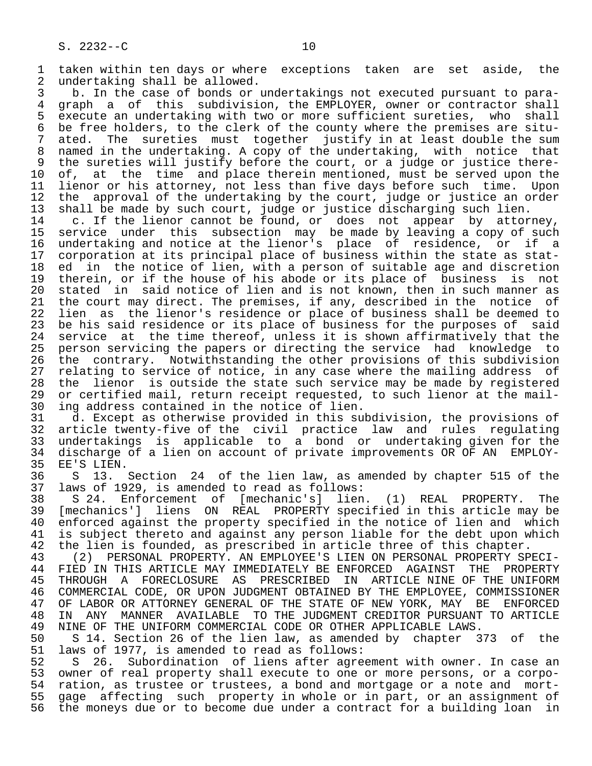1 taken within ten days or where exceptions taken are set aside, the<br>2 undertaking shall be allowed. 2 undertaking shall be allowed.<br>3 b. In the case of bonds or

3 b. In the case of bonds or undertakings not executed pursuant to para-<br>4 graph a of this subdivision, the EMPLOYER, owner or contractor shall 4 graph a of this subdivision, the EMPLOYER, owner or contractor shall<br>5 execute an undertaking with two or more sufficient sureties, who shall 5 execute an undertaking with two or more sufficient sureties, who shall<br>6 be free holders, to the clerk of the county where the premises are situ-6 be free holders, to the clerk of the county where the premises are situ-<br>7 ated. The sureties must together justify in at least double the sum ated. The sureties must together justify in at least double the sum 8 named in the undertaking. A copy of the undertaking, with notice that 9 the sureties will justify before the court, or a judge or justice there-<br>10 of, at the time and place therein mentioned, must be served upon the 10 of, at the time and place therein mentioned, must be served upon the<br>11 lienor or his attorney, not less than five days before such time. Upon 11 lienor or his attorney, not less than five days before such time. Upon<br>12 the approval of the undertaking by the court, judge or justice an order 12 the approval of the undertaking by the court, judge or justice an order 13 shall be made by such court, judge or justice discharging such lien.

 14 c. If the lienor cannot be found, or does not appear by attorney, 15 service under this subsection may be-made-by-leaving a-copy-of-such<br>16 undertaking and notice at the lienor's place of residence, or if a 16 undertaking and notice at the lienor's place of residence, or if a<br>17 corporation at its principal place of business within the state as stat-17 corporation at its principal place of business within the state as stat-<br>18 ed in the notice of lien, with a person of suitable age and discretion 18 ed in the notice of lien, with a person of suitable age and discretion<br>19 therein, or if the house of his abode or its place of business is not 19 therein, or if the house of his abode or its place of business is not<br>20 stated in said notice of lien and is not known, then in such manner as 20 stated in said notice of lien and is not known, then in such manner as<br>21 the court may direct. The premises, if any, described in the notice of 21 the court may direct. The premises, if any, described in the notice of<br>22 lien as the lienor's residence or place of business shall be deemed to 22 lien as the lienor's residence or place of business shall be deemed to<br>23 be his said residence or its place of business for the purposes of said 23 be his said residence or its place of business for the purposes of said<br>24 service at the time thereof, unless it is shown affirmatively that the 24 service at the time thereof, unless it is shown affirmatively that the<br>25 person servicing the papers or directing the service had knowledge to 25 person servicing the papers or directing the service had knowledge to 26 the contrary. Notwithstanding the other provisions of this subdivision<br>27 relating to service of notice, in any case where the mailing address of 27 relating to service of notice, in any case where the mailing address of<br>28 the lienor is outside the state such service may be made by registered 28 the lienor is outside the state such service may be made by registered<br>29 or certified mail, return receipt requested, to such lienor at the mail-29 or certified mail, return receipt requested, to such lienor at the mail-<br>30 ing address contained in the notice of lien. 30 ing address contained in the notice of lien.<br>31 d. Except as otherwise provided in this su

 31 d. Except as otherwise provided in this subdivision, the provisions of 32 article twenty-five of the civil practice law and rules regulating<br>33 undertakings is applicable to a bond or undertaking given for the 33 undertakings is applicable to a bond or undertaking given for the 34 discharge of a lien on account of private improvements OR OF AN EMPLOY- 35 EE'S LIEN.<br>36 S 13.

36 S 13. Section 24 of the lien law, as amended by chapter 515 of the 37 laws of 1929, is amended to read as follows: 37 laws of 1929, is amended to read as follows:

38 S 24. Enforcement of [mechanic's] lien. (1) REAL PROPERTY. The<br>39 [mechanics'] liens ON REAL PROPERTY specified in this article may be 39 [mechanics'] liens ON REAL PROPERTY specified in this article may be 40 enforced against the property specified in the notice of lien and which<br>41 is subject thereto and against any person liable for the debt upon which 41 is subject thereto and against any person liable for the debt upon which<br>42 the lien is founded, as prescribed in article three of this chapter. 42 the lien is founded, as prescribed in article three of this chapter.<br>43 (2) PERSONAL PROPERTY. AN EMPLOYEE'S LIEN ON PERSONAL PROPERTY SP

 43 (2) PERSONAL PROPERTY. AN EMPLOYEE'S LIEN ON PERSONAL PROPERTY SPECI- 44 FIED IN THIS ARTICLE MAY IMMEDIATELY BE ENFORCED AGAINST THE PROPERTY<br>45 THROUGH A FORECLOSURE AS PRESCRIBED IN ARTICLE NINE OF THE UNIFORM THROUGH A FORECLOSURE AS PRESCRIBED IN ARTICLE NINE OF THE UNIFORM 46 COMMERCIAL CODE, OR UPON JUDGMENT OBTAINED BY THE EMPLOYEE, COMMISSIONER 47 OF LABOR OR ATTORNEY GENERAL OF THE STATE OF NEW YORK, MAY BE ENFORCED 48 IN ANY MANNER AVAILABLE TO THE JUDGMENT CREDITOR PURSUANT TO ARTICLE<br>49 NINE OF THE UNIFORM COMMERCIAL CODE OR OTHER APPLICABLE LAWS. 49 NINE OF THE UNIFORM COMMERCIAL CODE OR OTHER APPLICABLE LAWS.<br>50 S 14. Section 26 of the lien law, as amended by chapter 3

50 S 14. Section 26 of the lien law, as amended by chapter 373 of the 51 laws of 1977, is amended to read as follows: 51 laws of 1977, is amended to read as follows:<br>52 S 26. Subordination of liens after agre

52 S 26. Subordination of liens after agreement with owner. In case an<br>53 owner of real property shall execute to one or more persons, or a corpo- 53 owner of real property shall execute to one or more persons, or a corpo- 54 ration, as trustee or trustees, a bond and mortgage or a note and mort-<br>55 gage affecting such property in whole or in part, or an assignment of 55 gage affecting such property in whole or in part, or an assignment of<br>56 the moneys due or to become due under a contract for a building loan in the moneys due or to become due under a contract for a building loan in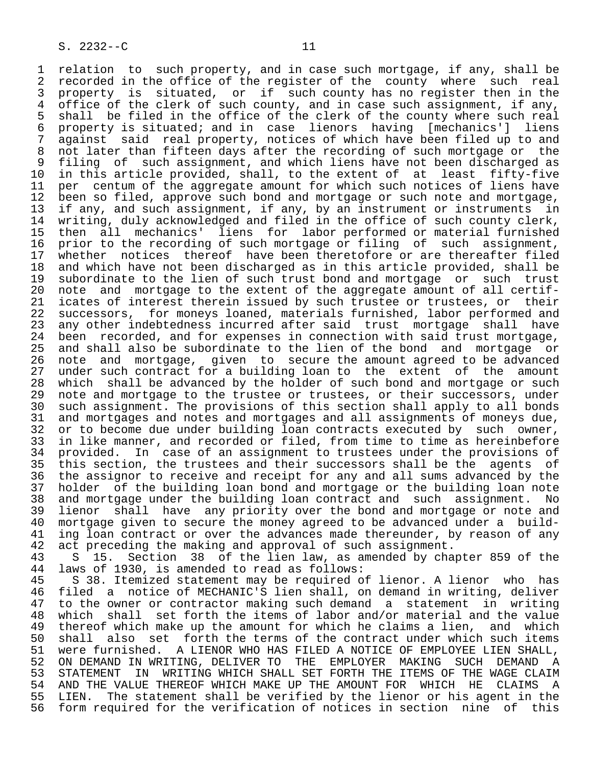1 relation to such property, and in case such mortgage, if any, shall be<br>2 recorded in the office of the register of the county where such real 2 recorded in the office of the register of the county where such real<br>3 property is situated, or if such county has no register then in the 3 property is situated, or if such county has no register then in the<br>4 office of the clerk of such county, and in case such assignment, if any, 4 office of the clerk of such county, and in case such assignment, if any,<br>5 shall be filed in the office of the clerk of the county where such real 5 shall be filed in the office of the clerk of the county where such real<br>6 property is situated; and in case lienors having [mechanics'] liens 6 property is situated; and in case lienors having [mechanics'] liens 7 against said real property, notices of which have been filed up to and<br>8 not later than fifteen days after the recording of such mortgage or the 8 not later than fifteen days after the recording of such mortgage or the<br>8 filing of such assignment, and which liens have not been discharged as 9 filing of such assignment, and which liens have not been discharged as<br>10 in this article provided, shall, to the extent of at least fifty-five 10 in this article provided, shall, to the extent of at least fifty-five<br>11 per centum of the aggregate amount for which such notices of liens have 11 per centum of the aggregate amount for which such notices of liens have<br>12 been so filed, approve such bond and mortgage or such note and mortgage, 12 been so filed, approve such bond and mortgage or such note and mortgage,<br>13 if any, and such assignment, if any, by an instrument or instruments in 13 if any, and such assignment, if any, by an instrument or instruments in<br>14 writing, duly acknowledged and filed in the office of such county clerk, writing, duly acknowledged and filed in the office of such county clerk, 15 then all mechanics' liens for labor performed or material furnished<br>16 prior to the recording of such mortgage or filing of such assignment, 16 prior to the recording of such mortgage or filing of<br>17 whether notices thereof have been theretofore or ar 17 whether notices thereof have been theretofore or are thereafter filed<br>18 and which have not been discharged as in this article provided, shall be 18 and which have not been discharged as in this article provided, shall be<br>19 subordinate to the lien of such trust bond and mortgage or such trust 19 subordinate to the lien of such trust bond and mortgage or such trust<br>20 note and mortgage to the extent of the aggregate amount of all certif-20 note and mortgage to the extent of the aggregate amount of all certif-<br>21 icates of interest therein issued by such trustee or trustees, or their 21 icates of interest therein issued by such trustee or trustees, or their<br>22 successors, for moneys loaned, materials furnished, labor performed and 22 successors, for moneys loaned, materials furnished, labor performed and<br>23 any other indebtedness incurred after said trust mortgage shall have 23 any other indebtedness incurred after said trust mortgage shall have<br>24 been recorded, and for expenses in connection with said trust mortgage, 24 been recorded, and for expenses in connection with said trust mortgage,<br>25 and shall also be subordinate to the lien of the bond and mortgage or and shall also be subordinate to the lien of the bond and mortgage or 26 note and mortgage, given to secure the amount agreed to be advanced<br>27 under such contract for a building loan to the extent of the amount 27 under such contract for a building loan to the extent of the amount<br>28 which shall be advanced by the holder of such bond and mortgage or such 28 which shall be advanced by the holder of such bond and mortgage or such<br>29 note and mortgage to the trustee or trustees, or their successors, under 29 note and mortgage to the trustee or trustees, or their successors, under<br>20 such assignment. The provisions of this section shall apply to all bonds 30 such assignment. The provisions of this section shall apply to all bonds<br>31 and mortgages and notes and mortgages and all assignments of moneys due. 31 and mortgages and notes and mortgages and all assignments of moneys due,<br>32 or to become due under building loan contracts executed by such owner, 32 or to become due under building loan contracts executed by such owner,<br>33 in like manner, and recorded or filed, from time to time as hereinbefore 33 in like manner, and recorded or filed, from time to time as hereinbefore<br>34 provided. In case of an assignment to trustees under the provisions of 34 provided. In case of an assignment to trustees under the provisions of<br>35 this section, the trustees and their successors shall be the agents of 35 this section, the trustees and their successors shall be the agents of<br>36 the assignor to receive and receipt for any and all sums advanced by the the assignor to receive and receipt for any and all sums advanced by the 37 holder of the building loan bond and mortgage or the building loan note 38 and mortgage under the building loan contract and such assignment. No<br>39 lienor shall have any priority over the bond and mortgage or note and 39 lienor shall have any priority over the bond and mortgage or note and<br>40 mortgage given to secure the money agreed to be advanced under a build-40 mortgage given to secure the money agreed to be advanced under a build-<br>41 ing loan contract or over the advances made thereunder, by reason of any 41 ing loan contract or over the advances made thereunder, by reason of any<br>42 act preceding the making and approval of such assignment. 42 act preceding the making and approval of such assignment.<br>43 S 15. Section 38 of the lien law, as amended by cha

43 S 15. Section 38 of the lien law, as amended by chapter 859 of the 44 laws of 1930, is amended to read as follows: 44 laws of 1930, is amended to read as follows:<br>45 S 38. Itemized statement may be required o

45 S 38. Itemized statement may be required of lienor. A lienor who has<br>46 filed a notice of MECHANIC'S lien shall, on demand in writing, deliver 46 filed a notice of MECHANIC'S lien shall, on demand in writing, deliver 47 to the owner or contractor making such demand a statement in writing<br>48 which shall set forth the items of labor and/or material and the value 48 which shall set forth the items of labor and/or material and the value<br>49 thereof which make up the amount for which he claims a lien, and which 49 thereof which make up the amount for which he claims a lien,<br>50 shall also set forth the terms of the contract under which 50 shall also set forth the terms of the contract under which such items<br>51 were furnished. A LIENOR WHO HAS FILED A NOTICE OF EMPLOYEE LIEN SHALL, 51 were furnished. A LIENOR WHO HAS FILED A NOTICE OF EMPLOYEE LIEN SHALL,<br>52 ON DEMAND IN WRITING, DELIVER TO THE EMPLOYER MAKING SUCH DEMAND A 52 ON DEMAND IN WRITING, DELIVER TO THE EMPLOYER MAKING SUCH DEMAND A<br>53 STATEMENT IN WRITING WHICH SHALL SET FORTH THE ITEMS OF THE WAGE CLAIM 53 STATEMENT IN WRITING WHICH SHALL SET FORTH THE ITEMS OF THE WAGE CLAIM<br>54 AND THE VALUE THEREOF WHICH MAKE UP THE AMOUNT FOR WHICH HE CLAIMS A 54 AND THE VALUE THEREOF WHICH MAKE UP THE AMOUNT FOR WHICH HE CLAIMS A<br>55 LIEN. The statement shall be verified by the lienor or his agent in the 55 LIEN. The statement shall be verified by the lienor or his agent in the<br>56 form required for the verification of notices in section nine of this form required for the verification of notices in section nine of this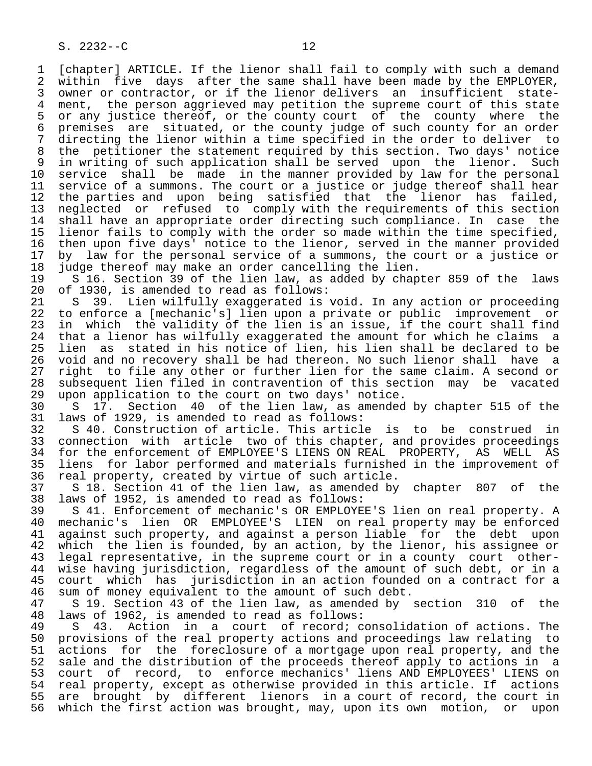1 [chapter] ARTICLE. If the lienor shall fail to comply with such a demand<br>2 within five days after the same shall have been made by the EMPLOYER. 2 within five days after the same shall have been made by the EMPLOYER,<br>3 owner or contractor, or if the lienor delivers an insufficient state-3 owner or contractor, or if the lienor delivers an insufficient state-<br>4 ment, the person aggrieved may petition the supreme court of this state 4 ment, the person aggrieved may petition the supreme court of this state<br>5 or any justice thereof, or the county court of the county where the 5 or any justice thereof, or the county court of the county where the<br>6 premises are situated, or the county judge of such county for an order 6 premises are situated, or the county judge of such county for an order<br>7 directing the lienor within a time specified in the order to deliver to 7 directing the lienor within a time specified in the order to deliver to 8 the petitioner the statement required by this section. Two days' notice 9 in writing of such application shall be served upon the lienor. Such<br>10 service shall be made in the manner provided by law for the personal 10 service shall be made in the manner provided by law for the personal<br>11 service of a summons. The court or a justice or judge thereof shall hear 11 service of a summons. The court or a justice or judge thereof shall hear<br>12 the parties and upon being satisfied that the lienor has failed, 12 the parties and upon being satisfied that the lienor has failed,<br>13 neglected or refused to comply with the requirements of this section 13 one parties and their terms with the requirements of this section<br>14 shall have an appropriate order directing such compliance. In case the shall have an appropriate order directing such compliance. In case the 15 lienor fails to comply with the order so made within the time specified,<br>16 then upon five days' notice to the lienor, served in the manner provided 16 then upon five days' notice to the lienor, served in the manner provided<br>17 by law for the personal service of a summons, the court or a justice or 17 by law for the personal service of a summons, the court or a justice or<br>18 judge thereof may make an order cancelling the lien. 18 judge thereof may make an order cancelling the lien.<br>19 5 16. Section 39 of the lien law, as added by chap

19 S 16. Section 39 of the lien law, as added by chapter 859 of the laws<br>20 of 1930, is amended to read as follows: 20 of 1930, is amended to read as follows:<br>21 S 39. Lien wilfully exaggerated is

21 S 39. Lien wilfully exaggerated is void. In any action or proceeding<br>22 to enforce a [mechanic's] lien upon a private or public improvement or 22 to enforce a [mechanic's] lien upon a private or public improvement or<br>23 in which the validity of the lien is an issue, if the court shall find in which the validity of the lien is an issue, if the court shall find 24 that a lienor has wilfully exaggerated the amount for which he claims a<br>25 lien as stated in his notice of lien, his lien shall be declared to be lien as stated in his notice of lien, his lien shall be declared to be 26 void and no recovery shall be had thereon. No such lienor shall have a<br>27 right to file any other or further lien for the same claim. A second or 27 right to file any other or further lien for the same claim. A second or<br>28 subsequent lien filed in contravention of this section may be vacated 28 subsequent lien filed in contravention of this section may be vacated<br>29 upon application to the court on two days' notice. 29 upon application to the court on two days' notice.<br>30 S 17. Section 40 of the lien law, as amended

30 S 17. Section 40 of the lien law, as amended by chapter 515 of the 31 laws of 1929, is amended to read as follows: 31 laws of 1929, is amended to read as follows:

32 S 40. Construction of article. This article is to be construed in<br>33 connection with article two of this chapter, and provides proceedings 33 connection with article two of this chapter, and provides proceedings<br>34 for the enforcement of EMPLOYEE'S LIENS ON REAL PROPERTY, AS WELL AS 34 for the enforcement of EMPLOYEE'S LIENS ON REAL PROPERTY, AS WELL AS<br>35 liens for labor performed and materials furnished in the improvement of 35 liens for labor performed and materials furnished in the improvement of<br>36 real property, created by virtue of such article. real property, created by virtue of such article.

 37 S 18. Section 41 of the lien law, as amended by chapter 807 of the 38 laws of 1952, is amended to read as follows:

39 S 41. Enforcement of mechanic's OR EMPLOYEE'S lien on real property. A<br>40 mechanic's lien OR EMPLOYEE'S LIEN on real property may be enforced 40 mechanic's lien OR EMPLOYEE'S LIEN on real property may be enforced<br>41 against such property, and against a person liable for the debt upon 41 against such property, and against a person liable for the debt upon<br>42 which the lien is founded, by an action, by the lienor, his assignee or 42 which the lien is founded, by an action, by the lienor, his assignee or<br>43 legal representative, in the supreme court or in a county court other-43 legal representative, in the supreme court or in a county court other-<br>44 wise having jurisdiction, regardless of the amount of such debt, or in a 44 wise having jurisdiction, regardless of the amount of such debt, or in a<br>45 court which has jurisdiction in an action founded on a contract for a court which has jurisdiction in an action founded on a contract for a 46 sum of money equivalent to the amount of such debt.<br>47 S 19. Section 43 of the lien law, as amended by

S 19. Section 43 of the lien law, as amended by section 310 of the 48 laws of 1962, is amended to read as follows:

49 S 43. Action in a court of record; consolidation of actions. The<br>50 provisions of the real property actions and proceedings law relating to 50 provisions of the real property actions and proceedings law relating to<br>51 actions for the foreclosure of a mortgage upon real property, and the 51 actions for the foreclosure of a mortgage upon real property, and the<br>52 sale and the distribution of the proceeds thereof apply to actions in a 52 sale and the distribution of the proceeds thereof apply to actions in a<br>53 court of record, to enforce mechanics' liens AND EMPLOYEES' LIENS on 53 court of record, to enforce mechanics' liens AND EMPLOYEES' LIENS on<br>54 real property, except as otherwise provided in this article. If actions 54 real property, except as otherwise provided in this article. If actions<br>55 are brought by different lienors in a court of record, the court in 55 are brought by different lienors in a court of record, the court in<br>56 which the first action was brought, may, upon its own motion, or upon which the first action was brought, may, upon its own motion, or upon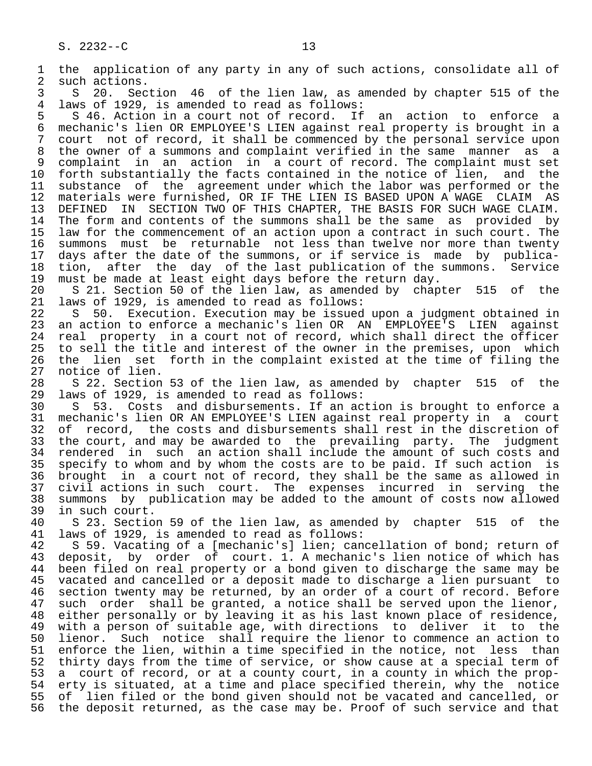1 the application of any party in any of such actions, consolidate all of such actions. 2 such actions.<br>3 S 20. Sec 3 S 20. Section 46 of the lien law, as amended by chapter 515 of the<br>4 laws of 1929, is amended to read as follows: 4 laws of 1929, is amended to read as follows: 5 S 46. Action in a court not of record. If an action to enforce a<br>6 mechanic's lien OR EMPLOYEE'S LIEN against real property is brought in a 6 mechanic's lien OR EMPLOYEE'S LIEN against real property is brought in a 7 court not of record, it shall be commenced by the personal service upon<br>8 the owner of a summons and complaint verified in the same manner as a 8 the owner of a summons and complaint verified in the same manner as a<br>9 complaint in an action in a court of record. The complaint must set 9 complaint in an action in a court of record. The complaint must set<br>10 forth substantially the facts contained in the notice of lien, and the 10 forth substantially the facts contained in the notice of lien,<br>11 substance of the agreement under which the labor was perform 11 substance of the agreement under which the labor was performed or the<br>12 materials were furnished, OR IF THE LIEN IS BASED UPON A WAGE CLAIM AS 12 materials were furnished, OR IF THE LIEN IS BASED UPON A WAGE CLAIM AS<br>13 DEFINED IN SECTION TWO OF THIS CHAPTER, THE BASIS FOR SUCH WAGE CLAIM. 13 DEFINED IN SECTION TWO OF THIS CHAPTER, THE BASIS FOR SUCH WAGE CLAIM.<br>14 The form and contents of the summons shall be the same as provided by The form and contents of the summons shall be the same as provided by 15 law for the commencement of an action upon a contract in such court. The<br>16 summons must be returnable not less than twelve nor more than twenty 16 summons must be returnable not less than twelve nor more than twenty<br>17 days after the date of the summons, or if service is made by publica-17 days after the date of the summons, or if service is made by publica-<br>18 tion, after the day of the last publication of the summons. Service 18 tion, after the day of the last publication of the summons. Service<br>19 must be made at least eight days before the return day. 19 must be made at least eight days before the return day.<br>20 S 21. Section 50 of the lien law, as amended by chap 20 S 21. Section 50 of the lien law, as amended by chapter 515 of the 21 laws of 1929, is amended to read as follows: 21 laws of 1929, is amended to read as follows:<br>22 S 50. Execution. Execution may be issued 22 S 50. Execution. Execution may be issued upon a judgment obtained in<br>23 an action to enforce a mechanic's lien OR AN EMPLOYEE'S LIEN against 23 an action to enforce a mechanic's lien OR AN EMPLOYEE'S LIEN against 24 real property in a court not of record, which shall direct the officer<br>25 to sell the title and interest of the owner in the premises, upon which to sell the title and interest of the owner in the premises, upon which 26 the lien set forth in the complaint existed at the time of filing the 27 notice of lien. 27 notice of lien.<br>28 S 22. Section 28 S 22. Section 53 of the lien law, as amended by chapter 515 of the<br>29 laws of 1929, is amended to read as follows: 29 laws of 1929, is amended to read as follows:<br>30 S 53. Costs and disbursements. If an ac 30 S 53. Costs and disbursements. If an action is brought to enforce a<br>31 mechanic's lien OR AN EMPLOYEE'S LIEN against real property in a court 31 mechanic's lien OR AN EMPLOYEE'S LIEN against real property in a court<br>32 of record, the costs and disbursements shall rest in the discretion of 32 of record, the costs and disbursements shall rest in the discretion of<br>33 the court, and may be awarded to the prevailing party. The judgment 33 the court, and may be awarded to the prevailing party. The judgment<br>34 rendered in such an action shall include the amount of such costs and 34 rendered in such an action shall include the amount of such costs and<br>35 specify to whom and by whom the costs are to be paid. If such action is 35 specify to whom and by whom the costs are to be paid. If such action is<br>36 brought in a court not of record, they shall be the same as allowed in brought in a court not of record, they shall be the same as allowed in 37 civil actions in such court. The expenses incurred in serving the<br>38 summons by publication may be added to the amount of costs now allowed 38 summons by publication may be added to the amount of costs now allowed 39 in such court.<br>40 S 23. Sectio 40 S 23. Section 59 of the lien law, as amended by chapter 515 of the 41 laws of 1929, is amended to read as follows: 41 laws of 1929, is amended to read as follows:<br>42 S 59. Vacating of a [mechanic's] lien; can 42 S 59. Vacating of a [mechanic's] lien; cancellation of bond; return of 43 deposit, by order of court, 1, A mechanic's lien notice of which has 43 deposit, by order of court. 1. A mechanic's lien notice of which has<br>44 been filed on real property or a bond given to discharge the same may be 44 been filed on real property or a bond given to discharge the same may be<br>45 vacated and cancelled or a deposit made to discharge a lien pursuant to vacated and cancelled or a deposit made to discharge a lien pursuant to 46 section twenty may be returned, by an order of a court of record. Before<br>47 such order shall be granted, a notice shall be served upon the lienor, such order shall be granted, a notice shall be served upon the lienor, 48 either personally or by leaving it as his last known place of residence, 49 with a person of suitable age, with directions to deliver it to the<br>50 lienor. Such notice shall require the lienor to commence an action to 50 lienor. Such notice shall require the lienor to commence an action to<br>51 enforce the lien, within a time specified in the notice, not less than 51 enforce the lien, within a time specified in the notice, not less than<br>52 thirty days from the time of service, or show cause at a special term of 52 thirty days from the time of service, or show cause at a special term of<br>53 a court of record, or at a county court, in a county in which the prop-53 a court of record, or at a county court, in a county in which the prop-<br>54 erty is situated, at a time and place specified therein, why the notice 54 erty is situated, at a time and place specified therein, why the notice<br>55 of lien filed or the bond given should not be vacated and cancelled, or 55 of lien filed or the bond given should not be vacated and cancelled, or<br>56 the deposit returned, as the case may be. Proof of such service and that the deposit returned, as the case may be. Proof of such service and that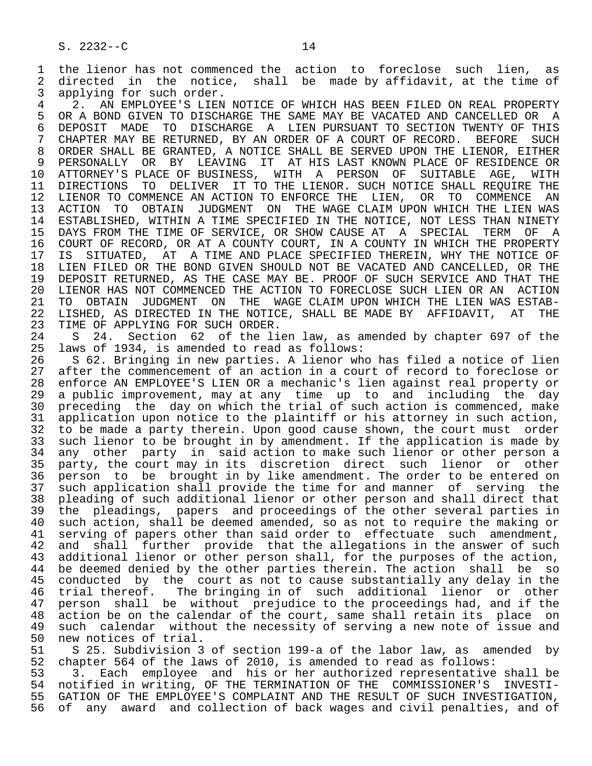1 the lienor has not commenced the action to foreclose such lien, as<br>2 directed in the notice, shall be made by affidavit, at the time of 2 directed in the notice, shall be made by affidavit, at the time of<br>3 applying for such order. 3 applying for such order.<br>4 2. AN EMPLOYEE'S LIEN

4 2. AN EMPLOYEE'S LIEN NOTICE OF WHICH HAS BEEN FILED ON REAL PROPERTY<br>5 OR A BOND GIVEN TO DISCHARGE THE SAME MAY BE VACATED AND CANCELLED OR A 5 OR A BOND GIVEN TO DISCHARGE THE SAME MAY BE VACATED AND CANCELLED OR A<br>6 DEPOSIT MADE TO DISCHARGE A LIEN PURSUANT TO SECTION TWENTY OF THIS 6 DEPOSIT MADE TO DISCHARGE A LIEN PURSUANT TO SECTION TWENTY OF THIS<br>7 CHAPTER MAY BE RETURNED, BY AN ORDER OF A COURT OF RECORD. BEFORE SUCH 7 CHAPTER MAY BE RETURNED, BY AN ORDER OF A COURT OF RECORD. BEFORE SUCH 3 ORDER SHALL BE GRANTED. A NOTICE SHALL BE SERVED UPON THE LIENOR. EITHER 8 ORDER SHALL BE GRANTED, A NOTICE SHALL BE SERVED UPON THE LIENOR, EITHER<br>9 PERSONALLY OR BY LEAVING IT AT HIS LAST KNOWN PLACE OF RESIDENCE OR 9 PERSONALLY OR BY LEAVING IT AT HIS LAST KNOWN PLACE OF RESIDENCE OR<br>10 ATTORNEY'S PLACE OF BUSINESS, WITH A PERSON OF SUITABLE AGE, WITH 10 ATTORNEY'S PLACE OF BUSINESS, WITH A PERSON OF SUITABLE AGE,<br>11 DIRECTIONS TO DELIVER IT TO THE LIENOR. SUCH\_NOTICE SHALL\_REOUIR 11 DIRECTIONS TO DELIVER IT TO THE LIENOR. SUCH NOTICE SHALL REQUIRE THE<br>12 LIENOR TO COMMENCE AN ACTION TO ENFORCE THE LIEN, OR TO COMMENCE AN 12 LIENOR TO COMMENCE AN ACTION TO ENFORCE THE LIEN, OR TO COMMENCE AN 13 ACTION TO OBTAIN JUDGMENT ON THE WAGE CLAIM UPON WHICH THE LIEN WAS 13 ACTION TO OBTAIN JUDGMENT ON THE WAGE CLAIM UPON WHICH THE LIEN WAS<br>14 ESTABLISHED, WITHIN A TIME SPECIFIED IN THE NOTICE, NOT LESS THAN NINETY 14 ESTABLISHED, WITHIN A TIME SPECIFIED IN THE NOTICE, NOT LESS THAN NINETY 15 DAYS FROM THE TIME OF SERVICE, OR SHOW CAUSE AT A SPECIAL TERM OF A<br>16 COURT OF RECORD, OR AT A COUNTY COURT, IN A COUNTY IN WHICH THE PROPERTY 16 COURT OF RECORD, OR AT A COUNTY COURT, IN A COUNTY IN WHICH THE PROPERTY<br>17 IS SITUATED, AT A TIME AND PLACE SPECIFIED THEREIN, WHY THE NOTICE OF 17 IS SITUATED, AT A TIME AND PLACE SPECIFIED THEREIN, WHY THE NOTICE OF<br>18 LIEN FILED OR THE BOND GIVEN SHOULD NOT BE VACATED AND CANCELLED, OR THE 18 LIEN FILED OR THE BOND GIVEN SHOULD NOT BE VACATED AND CANCELLED, OR THE 19 DEPOSIT RETURNED. AS THE CASE MAY BE, PROOF OF SUCH SERVICE AND THAT THE 19 DEPOSIT RETURNED, AS THE CASE MAY BE. PROOF OF SUCH SERVICE AND THAT THE 20 LIENOR HAS NOT COMMENCED THE ACTION 20 LIENOR HAS NOT COMMENCED THE ACTION TO FORECLOSE SUCH LIEN OR AN ACTION<br>21 TO OBTAIN JUDGMENT ON THE WAGE CLAIM UPON WHICH THE LIEN WAS ESTAB-21 TO OBTAIN JUDGMENT ON THE WAGE CLAIM UPON WHICH THE LIEN WAS ESTAB-<br>22 LISHED, AS DIRECTED IN THE NOTICE, SHALL BE MADE BY AFFIDAVIT, AT THE 22 LISHED, AS DIRECTED IN THE NOTICE, SHALL BE MADE BY AFFIDAVIT, AT THE 23 TIME OF APPLYING FOR SUCH ORDER. 23 TIME OF APPLYING FOR SUCH ORDER.<br>24 S 24. Section 62 of the li

24 S 24. Section 62 of the lien law, as amended by chapter 697 of the 25 laws of 1934, is amended to read as follows: laws of 1934, is amended to read as follows:

 26 S 62. Bringing in new parties. A lienor who has filed a notice of lien 27 after the commencement of an action in a court of record to foreclose or<br>28 enforce AN EMPLOYEE'S LIEN OR a mechanic's lien against real property or 28 enforce AN EMPLOYEE'S LIEN OR a mechanic's lien against real property or<br>29 a public improvement, may at any time up to and including the day 29 a public improvement, may at any time up to and including the day<br>30 preceding the day on which the trial of such action is commenced, make 30 preceding the day on which the trial of such action is commenced, make<br>31 application upon notice to the plaintiff or his attorney in such action. 31 application upon notice to the plaintiff or his attorney in such action,<br>32 to be made a party therein. Upon good cause shown, the court must order 32 to be made a party therein. Upon good cause shown, the court must order<br>33 such lienor to be brought in by amendment. If the application is made by 33 such lienor to be brought in by amendment. If the application is made by<br>34 any other party in said action to make such lienor or other person a 34 any other party in said action to make such lienor or other person a<br>35 party, the court may in its discretion direct such lienor or other 35 party, the court may in its discretion direct such lienor or other<br>36 person to be brought in by like amendment. The order to be entered on 36 person to be brought in by like amendment. The order to be entered on 37 such application shall provide the time for and manner of serving the<br>38 pleading of such additional lienor or other person and shall direct that 38 pleading of such additional lienor or other person and shall direct that 39 the pleadings, papers and proceedings of the other several parties in 40 such action, shall be deemed amended, so as not to require the making or<br>41 serving of papers other than said order to effectuate such amendment. 41 serving of papers other than said order to effectuate such amendment,<br>42 and shall further provide that the allegations in the answer of such 42 and shall further provide that the allegations in the answer of such<br>43 additional lienor or other person shall, for the purposes of the action, 43 additional lienor or other person shall, for the purposes of the action,<br>44 be deemed denied by the other parties therein. The action shall be so 44 be deemed denied by the other parties therein. The action shall be so<br>45 conducted by the court as not to cause substantially any delay in the 45 conducted by the court as not to cause substantially any delay in the 46 trial thereof. The bringing in of such additional lienor or other<br>47 person shall be without prejudice to the proceedings had, and if the 47 person shall be without prejudice to the proceedings had, and if the 48 action be on the calendar of the court, same shall retain its place on<br>49 such calendar without the necessity of serving a new note of issue and 49 such calendar without the necessity of serving a new note of issue and<br>50 new notices of trial. 50 new notices of trial.<br>51 S 25. Subdivision 3

51 S 25. Subdivision 3 of section 199-a of the labor law, as amended by<br>52 chapter 564 of the laws of 2010, is amended to read as follows: 52 chapter 564 of the laws of 2010, is amended to read as follows:<br>53 3. Each employee and his or her authorized representative

53 3. Each employee and his or her authorized representative shall be<br>54 notified in writing, OF THE TERMINATION OF THE COMMISSIONER'S INVESTI-54 notified in writing, OF THE TERMINATION OF THE COMMISSIONER'S<br>55 GATION OF THE EMPLOYEE'S COMPLAINT AND THE RESULT OF SUCH INVES 55 GATION OF THE EMPLOYEE'S COMPLAINT AND THE RESULT OF SUCH INVESTIGATION,<br>56 of any award and collection of back wages and civil penalties, and of 56 of any award and collection of back wages and civil penalties, and of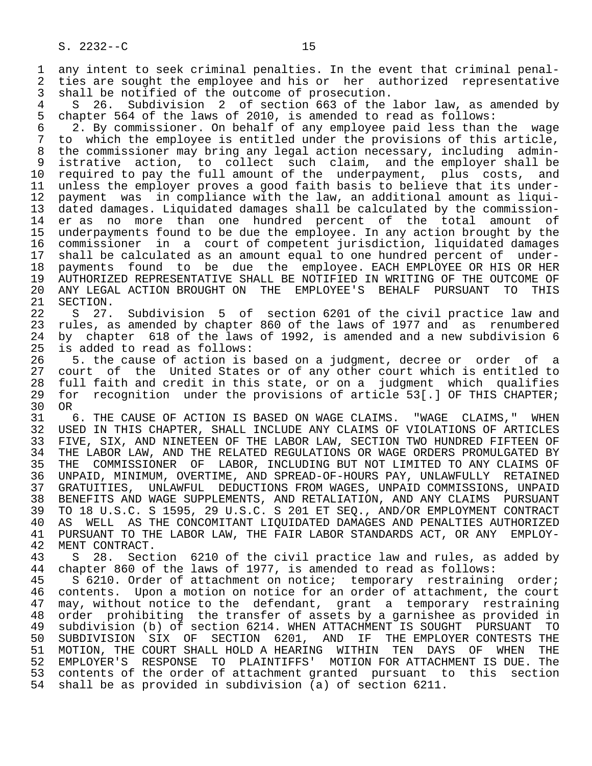1 any intent to seek criminal penalties. In the event that criminal penal-<br>2 ties are sought the employee and his or her authorized representative 2 ties are sought the employee and his or her authorized representative<br>3 shall be notified of the outcome of prosecution. 3 shall be notified of the outcome of prosecution.<br>4 S 26. Subdivision 2 of section 663 of the

4 S 26. Subdivision 2 of section 663 of the labor law, as amended by<br>5 chapter 564 of the laws of 2010, is amended to read as follows: 5 chapter 564 of the laws of 2010, is amended to read as follows:<br>6 2. By commissioner. On behalf of any employee paid less than

6  $2.$  By commissioner. On behalf of any employee paid less than the wage  $7$  to which the employee is entitled under the provisions of this article. 7 to which the employee is entitled under the provisions of this article, 8 the commissioner may bring any legal action necessary, including admin-<br>9 istrative action, to collect such claim, and the emplover shall be 9 istrative action, to collect such claim, and the employer shall be<br>10 required to pay the full amount of the underpayment, plus costs, and 10 required to pay the full amount of the underpayment, plus costs, and<br>11 unless the emplover proves a good faith basis to believe that its under-11 unless the employer proves a good faith basis to believe that its under-<br>12 payment was in compliance with the law, an additional amount as liqui- 12 payment was in compliance with the law, an additional amount as liqui- 13 dated damages. Liquidated damages shall be calculated by the commission er as no more than one hundred percent of the total amount of 15 underpayments found to be due the employee. In any action brought by the 16 commissioner in a court of competent jurisdiction, liquidated damages 17 shall be calculated as an amount equal to one hundred percent of under-<br>18 payments found to be due the employee. EACH EMPLOYEE OR HIS OR HER 18 payments found to be due the employee. EACH EMPLOYEE OR HIS OR HER<br>19 AUTHORIZED REPRESENTATIVE SHALL BE NOTIFIED IN WRITING OF THE OUTCOME OF 19 AUTHORIZED REPRESENTATIVE SHALL BE NOTIFIED IN WRITING OF THE OUTCOME OF<br>20 ANY LEGAL ACTION BROUGHT ON THE EMPLOYEE'S BEHALF PURSUANT TO THIS 20 ANY LEGAL ACTION BROUGHT ON THE EMPLOYEE'S BEHALF PURSUANT TO THIS<br>21 SECTION.

21 SECTION.<br>22 S 27. 22 S 27. Subdivision 5 of section 6201 of the civil practice law and<br>23 rules, as amended by chapter 860 of the laws of 1977 and as renumbered rules, as amended by chapter 860 of the laws of 1977 and as renumbered 24 by chapter 618 of the laws of 1992, is amended and a new subdivision 6<br>25 is added to read as follows: is added to read as follows:

 26 5. the cause of action is based on a judgment, decree or order of a 27 court of the United States or of any other court which is entitled to<br>28 full faith and credit in this state, or on a judgment which qualifies 28 full faith and credit in this state, or on a judgment which qualifies<br>29 for recognition under the provisions of article 53[.] OF THIS CHAPTER; for recognition under the provisions of article 53[.] OF THIS CHAPTER; 30 OR<br>31

31 6. THE CAUSE OF ACTION IS BASED ON WAGE CLAIMS. "WAGE CLAIMS," WHEN<br>32 USED IN THIS CHAPTER, SHALL INCLUDE ANY CLAIMS OF VIOLATIONS OF ARTICLES 32 USED IN THIS CHAPTER, SHALL INCLUDE ANY CLAIMS OF VIOLATIONS OF ARTICLES<br>33 FIVE, SIX, AND NINETEEN OF THE LABOR LAW, SECTION TWO HUNDRED FIFTEEN OF 33 FIVE, SIX, AND NINETEEN OF THE LABOR LAW, SECTION TWO HUNDRED FIFTEEN OF<br>34 THE LABOR LAW, AND THE RELATED REGULATIONS OR WAGE ORDERS PROMULGATED BY 34 THE LABOR LAW, AND THE RELATED REGULATIONS OR WAGE ORDERS PROMULGATED BY<br>35 THE COMMISSIONER OF LABOR, INCLUDING BUT NOT LIMITED TO ANY CLAIMS OF 35 THE COMMISSIONER OF LABOR, INCLUDING BUT NOT LIMITED TO ANY CLAIMS OF<br>36 UNPAID, MINIMUM, OVERTIME, AND SPREAD-OF-HOURS PAY, UNLAWFULLY RETAINED 36 UNPAID, MINIMUM, OVERTIME, AND SPREAD-OF-HOURS PAY, UNLAWFULLY RETAINED 37 GRATUITIES, UNLAWFUL DEDUCTIONS FROM WAGES, UNPAID COMMISSIONS, UNPAID<br>38 BENEFITS AND WAGE SUPPLEMENTS, AND RETALIATION, AND ANY CLAIMS PURSUANT 38 BENEFITS AND WAGE SUPPLEMENTS, AND RETALIATION, AND ANY CLAIMS PURSUANT<br>39 TO 18 U.S.C. S 1595, 29 U.S.C. S 201 ET SEO., AND/OR EMPLOYMENT CONTRACT 39 TO 18 U.S.C. S 1595, 29 U.S.C. S 201 ET SEQ., AND/OR EMPLOYMENT CONTRACT 40 AS WELL AS THE CONCOMITANT LIQUIDATED DAMAGES AND PENALTIES AUTHORIZED<br>41 PURSUANT TO THE LABOR LAW, THE FAIR LABOR STANDARDS ACT, OR ANY EMPLOY-41 PURSUANT TO THE LABOR LAW, THE FAIR LABOR STANDARDS ACT, OR ANY EMPLOY-<br>42 MENT CONTRACT.

42 MENT CONTRACT.<br>43 S 28. Sect 43 S 28. Section 6210 of the civil practice law and rules, as added by<br>44 chapter 860 of the laws of 1977, is amended to read as follows: 44 chapter 860 of the laws of 1977, is amended to read as follows:<br>45 S 6210. Order of attachment on notice; temporary restrainin

S 6210. Order of attachment on notice; temporary restraining order; 46 contents. Upon a motion on notice for an order of attachment, the court<br>47 may, without notice to the defendant, grant a temporary restraining 47 may, without notice to the defendant, grant a temporary restraining<br>48 order prohibiting the transfer of assets by a garnishee as provided in 48 order prohibiting the transfer of assets by a garnishee as provided in 49 subdivision (b) of section 6214. WHEN ATTACHMENT IS SOUGHT PURSUANT TO<br>50 SUBDIVISION SIX OF SECTION 6201, AND IF THE EMPLOYER CONTESTS THE SECTION 6201, AND IF THE EMPLOYER CONTESTS THE 51 MOTION, THE COURT SHALL HOLD A HEARING WITHIN TEN DAYS OF WHEN THE 52 EMPLOYER'S RESPONSE TO PLAINTIFFS' MOTION FOR ATTACHMENT IS DUE. The 53 contents of the order of attachment granted pursuant to this section 54 shall be as provided in subdivision (a) of section 6211.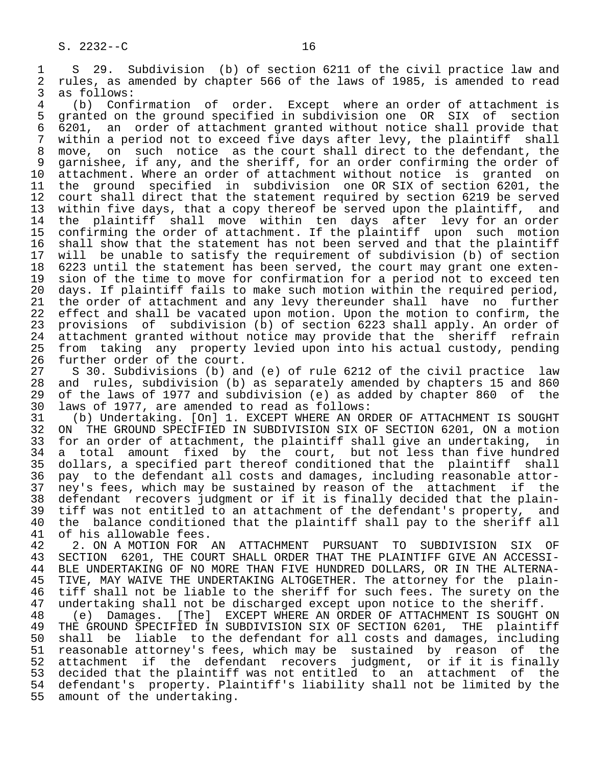1 S 29. Subdivision (b) of section 6211 of the civil practice law and<br>2 rules, as amended by chapter 566 of the laws of 1985, is amended to read 2 rules, as amended by chapter 566 of the laws of 1985, is amended to read<br>3 as follows:

3 as follows:<br>4 (b) Conf 4 (b) Confirmation of order. Except where an order of attachment is<br>5 granted on the ground specified in subdivision one OR SIX of section 5 granted on the ground specified in subdivision one OR SIX of section<br>6 6201, an order of attachment granted without notice shall provide that 6 6201, an order of attachment granted without notice shall provide that 7 within a period not to exceed five days after levy, the plaintiff<br>8 move, on such notice as the court shall direct to the defendar 8 move, on such notice as the court shall direct to the defendant, the<br>9 garnishee, if any, and the sheriff, for an order confirming the order of 9 garnishee, if any, and the sheriff, for an order confirming the order of<br>10 attachment. Where an order of attachment without notice is granted on 10 attachment. Where an order of attachment without notice is granted on<br>11 the ground specified in subdivision one OR SIX of section 6201, the 11 the ground specified in subdivision one OR SIX of section 6201, the<br>12 court shall direct that the statement required by section 6219 be served 12 court shall direct that the statement required by section 6219 be served<br>13 within five days, that a copy thereof be served upon the plaintiff, and 13 within five days, that a copy thereof be served upon the plaintiff, and<br>14 the plaintiff shall move within ten days after levy for an order the plaintiff shall move within ten days after levy for an order 15 confirming the order of attachment. If the plaintiff upon such motion<br>16 shall show that the statement has not been served and that the plaintiff 16 shall show that the statement has not been served and that the plaintiff<br>17 will be unable to satisfy the requirement of subdivision (b) of section 17 will be unable to satisfy the requirement of subdivision (b) of section<br>18 6223 until the statement has been served, the court may grant one exten-18 6223 until the statement has been served, the court may grant one exten-<br>19 sion of the time to move for confirmation for a period not to exceed ten 19 sion of the time to move for confirmation for a period not to exceed ten<br>20 days. If plaintiff fails to make such motion within the required period. 20 days. If plaintiff fails to make such motion within the required period,<br>21 the order of attachment and any levy thereunder shall have no further 21 the order of attachment and any levy thereunder shall have no further<br>22 effect and shall be vacated upon motion. Upon the motion to confirm, the effect and shall be vacated upon motion. Upon the motion to confirm, the 23 provisions of subdivision (b) of section 6223 shall apply. An order of<br>24 attachment granted without notice may provide that the sheriff refrain 24 attachment granted without notice may provide that the sheriff refrain<br>25 from taking any property levied upon into his actual custody, pending from taking any property levied upon into his actual custody, pending

26 further order of the court.<br>27 S 30. Subdivisions (b) and 27 S 30. Subdivisions (b) and (e) of rule 6212 of the civil practice law<br>28 and rules, subdivision (b) as separately amended by chapters 15 and 860 28 and rules, subdivision (b) as separately amended by chapters 15 and 860<br>29 of the laws of 1977 and subdivision (e) as added by chapter 860 of the 29 of the laws of 1977 and subdivision (e) as added by chapter 860 of the<br>30 laws of 1977, are amended to read as follows: 30 laws of 1977, are amended to read as follows:

31 (b) Undertaking. [On] 1. EXCEPT WHERE AN ORDER OF ATTACHMENT IS SOUGHT<br>32 ON THE GROUND SPECIFIED IN SUBDIVISION SIX OF SECTION 6201, ON a motion 32 ON THE GROUND SPECIFIED IN SUBDIVISION SIX OF SECTION 6201, ON a motion<br>33 for an order of attachment, the plaintiff shall give an undertaking, in 33 for an order of attachment, the plaintiff shall give an undertaking, in<br>34 a total amount fixed by the court, but not less than five hundred 34 a total amount fixed by the court, but not less than five hundred 35 dollars, a specified part thereof conditioned that the plaintiff shall 36 pay to the defendant all costs and damages, including reasonable attor- 37 ney's fees, which may be sustained by reason of the attachment if the<br>38 defendant recovers judgment or if it is finally decided that the plain-38 defendant recovers judgment or if it is finally decided that the plain-<br>39 tiff was not entitled to an attachment of the defendant's property, and 39 tiff was not entitled to an attachment of the defendant's property, and<br>40 the balance conditioned that the plaintiff shall pay to the sheriff all 40 the balance conditioned that the plaintiff shall pay to the sheriff all 41 of his allowable fees. 41 of his allowable fees.<br>42 2. ON A MOTION FOR

42 2. ON A MOTION FOR AN ATTACHMENT PURSUANT TO SUBDIVISION SIX OF 43 SECTION 6201. THE COURT SHALL ORDER THAT THE PLAINTIFF GIVE AN ACCESSI-43 SECTION 6201, THE COURT SHALL ORDER THAT THE PLAINTIFF GIVE AN ACCESSI-<br>44 BLE UNDERTAKING OF NO MORE THAN FIVE HUNDRED DOLLARS, OR IN THE ALTERNA-44 BLE UNDERTAKING OF NO MORE THAN FIVE HUNDRED DOLLARS, OR IN THE ALTERNA-<br>45 TIVE, MAY WAIVE THE UNDERTAKING ALTOGETHER. The attorney for the plain-45 TIVE, MAY WAIVE THE UNDERTAKING ALTOGETHER. The attorney for the plain-<br>46 tiff shall not be liable to the sheriff for such fees. The surety on the 46 tiff shall not be liable to the sheriff for such fees. The surety on the<br>47 undertaking shall not be discharged except upon notice to the sheriff.

47 undertaking shall not be discharged except upon notice to the sheriff.<br>48 (e) Damages. [The] EXCEPT WHERE AN ORDER OF ATTACHMENT IS SOUGHT 48 (e) Damages. [The] EXCEPT WHERE AN ORDER OF ATTACHMENT IS SOUGHT ON<br>49 THE GROUND SPECIFIED IN SUBDIVISION SIX OF SECTION 6201, THE plaintiff 49 THE GROUND SPECIFIED IN SUBDIVISION SIX OF SECTION 6201, THE plaintiff<br>50 shall be liable to the defendant for all costs and damages, including 50 shall be liable to the defendant for all costs and damages, including 51 reasonable attorney's fees, which may be sustained by reason of the 52 attachment if the defendant recovers judgment, or if it is finally 53 decided that the plaintiff was not entitled to an attachment of the 54 defendant's property. Plaintiff's liability shall not be limited by the 55 amount of the undertaking.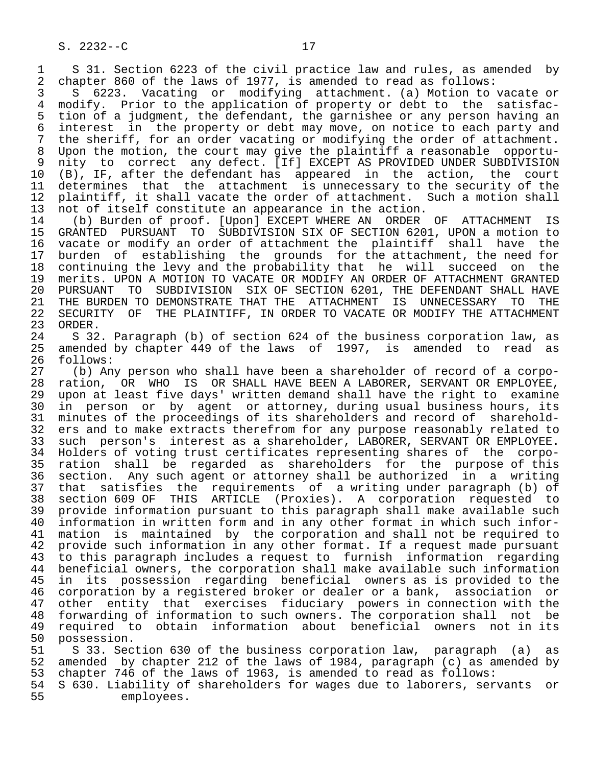S. 2232--C 17

1 S 31. Section 6223 of the civil practice law and rules, as amended by<br>2 chapter 860 of the laws of 1977, is amended to read as follows: 2 chapter 860 of the laws of 1977, is amended to read as follows:<br>3 5 6223. Vacating or modifying attachment. (a) Motion to

3 S 6223. Vacating or modifying attachment. (a) Motion to vacate or<br>4 modify. Prior to the application of property or debt to the satisfac-4 modify. Prior to the application of property or debt to the satisfac-<br>5 tion of a judgment, the defendant, the garnishee or any person having an 5 tion of a judgment, the defendant, the garnishee or any person having an 6 interest in the property or debt may move, on notice to each party and 7 the sheriff, for an order vacating or modifying the order of attachment. 8 Upon the motion, the court may give the plaintiff a reasonable opportu-<br>9 nity to correct any defect. [If] EXCEPT AS PROVIDED UNDER SUBDIVISION 9 nity to correct any defect. [If] EXCEPT AS PROVIDED UNDER SUBDIVISION<br>10 (B), IF, after the defendant has appeared in the action, the court 10 (B), IF, after the defendant has appeared in the action,<br>11 determines that the attachment is unnecessary to the secur 11 determines that the attachment is unnecessary to the security of the<br>12 plaintiff, it shall vacate the order of attachment. Such a motion shall 12 plaintiff, it shall vacate the order of attachment. Such a motion shall<br>13 not of itself constitute an appearance in the action. 13 not of itself constitute an appearance in the action.<br>14 (b) Burden of proof. [Upon] EXCEPT WHERE AN ORDER

14 (b) Burden of proof. [Upon] EXCEPT WHERE AN ORDER OF ATTACHMENT IS<br>15 GRANTED PURSUANT TO SUBDIVISION SIX OF SECTION 6201, UPON a motion to 15 GRANTED PURSUANT TO SUBDIVISION SIX OF SECTION 6201, UPON a motion to 16 vacate or modify an order of attachment the plaintiff shall have the<br>17 burden of establishing the grounds for the attachment, the need for 17 burden of establishing the grounds for the attachment, the need for<br>18 continuing the levy and the probability that he will succeed on the 18 continuing the levy and the probability that he will succeed on the<br>19 merits. UPON A MOTION TO VACATE OR MODIFY AN ORDER OF ATTACHMENT GRANTED 19 merits. UPON A MOTION TO VACATE OR MODIFY AN ORDER OF ATTACHMENT GRANTED<br>20 PURSUANT TO SUBDIVISION SIX OF SECTION 6201, THE DEFENDANT SHALL HAVE 20 PURSUANT TO SUBDIVISION SIX OF SECTION 6201, THE DEFENDANT SHALL HAVE 21 THE BURDEN TO DEMONSTRATE THAT THE ATTACHMENT IS UNNECESSARY TO THE 22 SECURITY OF THE PLAINTIFF, IN ORDER TO VACATE OR MODIFY THE ATTACHMENT 23 ORDER. 23 ORDER.<br>24 S 32

 24 S 32. Paragraph (b) of section 624 of the business corporation law, as amended by chapter 449 of the laws of 1997, is amended to read as 26 follows:<br>27 (b) An

 27 (b) Any person who shall have been a shareholder of record of a corpo- 28 ration, OR WHO IS OR SHALL HAVE BEEN A LABORER, SERVANT OR EMPLOYEE,<br>29 upon at least five days' written demand shall have the right to examine 29 upon at least five days' written demand shall have the right to examine<br>20 in person or by agent or attorney, during usual business hours, its 30 in person or by agent or attorney, during usual business hours, its<br>31 minutes of the proceedings of its shareholders and record of sharehold-31 minutes of the proceedings of its shareholders and record of sharehold-<br>32 ers and to make extracts therefrom for any purpose reasonably related to 32 ers and to make extracts therefrom for any purpose reasonably related to<br>33 such person's interest as a shareholder, LABORER, SERVANT OR EMPLOYEE. 33 such person's interest as a shareholder, LABORER, SERVANT OR EMPLOYEE.<br>34 Holders of voting trust certificates representing shares of the corpo-34 Holders of voting trust certificates representing shares of the corpo-<br>35 ration shall be regarded as shareholders for the purpose of this 35 ration shall be regarded as shareholders for the purpose of this<br>36 section. Any such agent or attorney shall be authorized in a writing section. Any such agent or attorney shall be authorized in a writing 37 that satisfies the requirements of a writing under paragraph (b) of 38 section 609 OF THIS ARTICLE (Proxies). A corporation requested to 39 provide information pursuant to this paragraph shall make available such<br>40 information in written form and in any other format in which such infor- 40 information in written form and in any other format in which such infor- 41 mation is maintained by the corporation and shall not be required to<br>42 provide such information in any other format. If a request made pursuant 42 provide such information in any other format. If a request made pursuant<br>43 to this paragraph includes a request to furnish information regarding 43 to this paragraph includes a request to furnish information regarding<br>44 beneficial owners, the corporation shall make available such information 44 beneficial owners, the corporation shall make available such information<br>45 in its possession regarding beneficial owners as is provided to the in its possession regarding beneficial owners as is provided to the 46 corporation by a registered broker or dealer or a bank, association or<br>47 other entity that exercises fiduciary powers in connection with the other entity that exercises fiduciary powers in connection with the 48 forwarding of information to such owners. The corporation shall not be<br>49 required to obtain information about beneficial owners not in its 49 required to obtain information about beneficial owners not in its<br>50 possession.

50 possession.<br>51 S 33. Sec 51 S 33. Section 630 of the business corporation law, paragraph (a) as<br>52 amended by chapter 212 of the laws of 1984, paragraph (c) as amended by 52 amended by chapter 212 of the laws of 1984, paragraph (c) as amended by<br>53 chapter 746 of the laws of 1963, is amended to read as follows: 53 chapter 746 of the laws of 1963, is amended to read as follows:<br>54 S 630. Liability of shareholders for wages due to laborers, ser

 54 S 630. Liability of shareholders for wages due to laborers, servants or employees.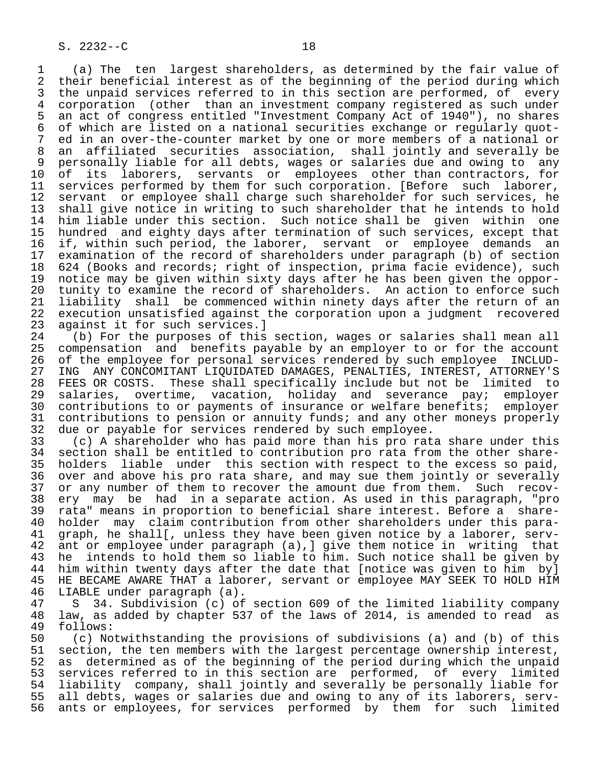1 (a) The ten largest shareholders, as determined by the fair value of 2 their beneficial interest as of the beginning of the period during which<br>3 the unpaid services referred to in this section are performed, of every 3 the unpaid services referred to in this section are performed, of every<br>4 corporation (other than an investment company registered as such under 4 corporation (other than an investment company registered as such under<br>5 an act of congress entitled "Investment Company Act of 1940"), no shares 5 an act of congress entitled "Investment Company Act of 1940"), no shares<br>6 of which are listed on a national securities exchange or regularly guot-6 of which are listed on a national securities exchange or regularly quot-<br>7 ed in an over-the-counter market by one or more members of a national or 7 ed in an over-the-counter market by one or more members of a national or<br>8 an affiliated securities association, shall jointly and severally be 8 an affiliated securities association, shall jointly and severally be<br>9 personally liable for all debts, wages or salaries due and owing to any 9 personally liable for all debts, wages or salaries due and owing to any<br>10 of its laborers, servants or employees other than contractors, for 10 of its laborers, servants or employees other than contractors, for<br>11 services performed by them for such corporation. [Before such laborer, 11 services performed by them for such corporation. [Before such laborer,<br>12 servant or employee shall charge such shareholder for such services, he 12 servant or employee shall charge such shareholder for such services, he<br>13 shall give notice in writing to such shareholder that he intends to hold 13 shall give notice in writing to such shareholder that he intends to hold<br>14 him liable under this section. Such notice shall be given within one him liable under this section. Such notice shall be given within one 15 hundred and eighty days after termination of such services, except that<br>16 if, within such period, the laborer, servant or employee demands an 16 if, within such period, the laborer, servant or employee demands an<br>17 examination of the record of shareholders under paragraph (b) of section 17 examination of the record of shareholders under paragraph (b) of section<br>18 624 (Books and records; right of inspection, prima facie evidence), such 18 624 (Books and records; right of inspection, prima facie evidence), such<br>19 notice may be given within sixty days after he has been given the oppor-19 notice may be given within sixty days after he has been given the oppor-<br>20 tunity to examine the record of shareholders. An action to enforce such 20 tunity to examine the record of shareholders. An action to enforce such<br>21 liability shall be commenced within ninety days after the return of an 21 liability shall be commenced within ninety days after the return of an<br>22 execution unsatisfied against the corporation upon a judgment recovered 22 execution unsatisfied against the corporation upon a judgment recovered<br>23 against it for such services.] 23 against it for such services.]<br>24 (b) For the purposes of this

24 (b) For the purposes of this section, wages or salaries shall mean all<br>25 compensation and benefits pavable by an employer to or for the account 25 compensation and benefits payable by an employer to or for the account 26 of the employee for personal services rendered by such employee INCLUD-<br>27 ING ANY CONCOMITANT LIOUIDATED DAMAGES, PENALTIES, INTEREST, ATTORNEY'S 27 ING ANY CONCOMITANT LIQUIDATED DAMAGES, PENALTIES, INTEREST, ATTORNEY'S<br>28 FEES OR COSTS. These shall specifically include but not be limited to 28 FEES OR COSTS. These shall specifically include but not be limited to<br>29 salaries, overtime, vacation, holiday and severance pay; employer 29 salaries, overtime, vacation, holiday and severance pay; employer<br>20 contributions to or payments of insurance or welfare benefits; employer 30 contributions to or payments of insurance or welfare benefits; employer<br>31 contributions to pension or annuity funds; and any other moneys properly 31 contributions to pension or annuity funds; and any other moneys properly<br>32 due or payable for services rendered by such employee.

32 due or payable for services rendered by such employee.<br>33 (c) A shareholder who has paid more than his pro rat 33 (c) A shareholder who has paid more than his pro rata share under this<br>34 section shall be entitled to contribution pro rata from the other share-34 section shall be entitled to contribution pro rata from the other share-<br>35 holders liable under this section with respect to the excess so paid. 35 holders liable under this section with respect to the excess so paid,<br>36 over and above his pro rata share, and may sue them jointly or severally over and above his pro rata share, and may sue them jointly or severally 37 or any number of them to recover the amount due from them. Such recov-<br>38 ery may be had in a separate action. As used in this paragraph, "pro 38 ery may be had in a separate action. As used in this paragraph, "pro 39 rata" means in proportion to beneficial share interest. Before a share-<br>40 holder may claim contribution from other shareholders under this para-40 holder may claim contribution from other shareholders under this para-<br>41 graph, he shall[, unless they have been given notice by a laborer, serv-41 graph, he shall[, unless they have been given notice by a laborer, serv-<br>42 ant or employee under paragraph (a), give them notice in writing that 42 ant or employee under paragraph (a), ] give them notice in writing that<br>43 he intends to hold them so liable to him. Such notice shall be given by 43 he intends to hold them so liable to him. Such notice shall be given by<br>44 him within twenty days after the date that [notice was given to him by] 44 him within twenty days after the date that [notice was given to him by]<br>45 HE BECAME AWARE THAT a laborer, servant or employee MAY SEEK TO HOLD HIM HE BECAME AWARE THAT a laborer, servant or employee MAY SEEK TO HOLD HIM 46 LIABLE under paragraph (a).<br>47 S 34. Subdivision (c) of

 47 S 34. Subdivision (c) of section 609 of the limited liability company 48 law, as added by chapter 537 of the laws of 2014, is amended to read as 49 follows:<br>50 (c) No

50 (c) Notwithstanding the provisions of subdivisions (a) and (b) of this<br>51 section, the ten members with the largest percentage ownership interest, 51 section, the ten members with the largest percentage ownership interest,<br>52 as determined as of the beginning of the period during which the unpaid 52 as determined as of the beginning of the period during which the unpaid<br>53 services referred to in this section are performed, of every limited 53 services referred to in this section are performed, of every limited<br>54 liability company, shall jointly and severally be personally liable for 54 liability company, shall jointly and severally be personally liable for 55 all debts, wages or salaries due and owing to any of its laborers, serv-<br>56 ants or employees, for services performed by them for such limited ants or employees, for services performed by them for such limited